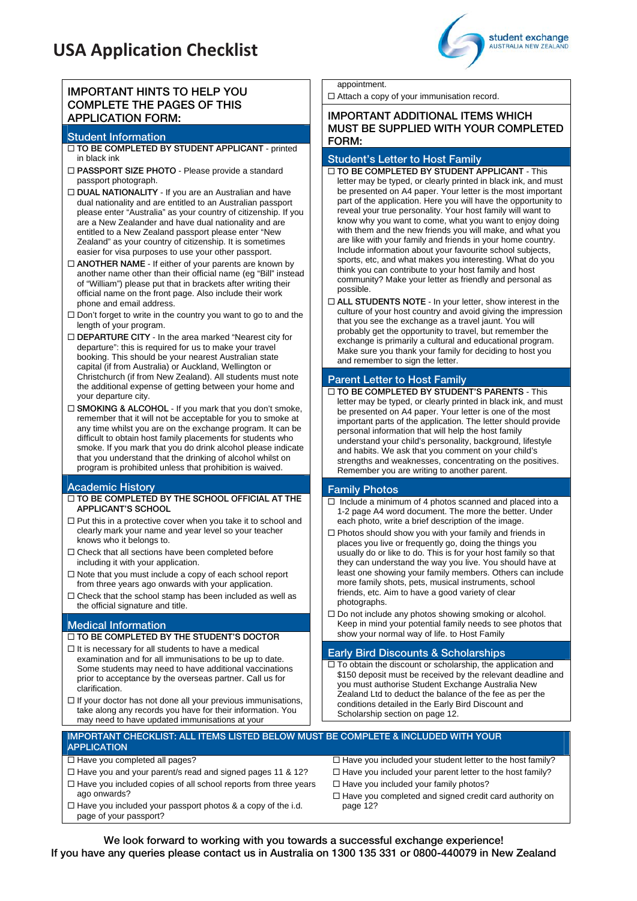## **USA Application Checklist**

### **IMPORTANT HINTS TO HELP YOU COMPLETE THE PAGES OF THIS APPLICATION FORM:**

#### **Student Information**

- **TO BE COMPLETED BY STUDENT APPLICANT** printed in black ink
- **PASSPORT SIZE PHOTO** Please provide a standard passport photograph.
- **DUAL NATIONALITY** If you are an Australian and have dual nationality and are entitled to an Australian passport please enter "Australia" as your country of citizenship. If you are a New Zealander and have dual nationality and are entitled to a New Zealand passport please enter "New Zealand" as your country of citizenship. It is sometimes easier for visa purposes to use your other passport.
- **ANOTHER NAME** If either of your parents are known by another name other than their official name (eg "Bill" instead of "William") please put that in brackets after writing their official name on the front page. Also include their work phone and email address.
- $\square$  Don't forget to write in the country you want to go to and the length of your program.
- **DEPARTURE CITY** In the area marked "Nearest city for departure": this is required for us to make your travel booking. This should be your nearest Australian state capital (if from Australia) or Auckland, Wellington or Christchurch (if from New Zealand). All students must note the additional expense of getting between your home and your departure city.
- □ **SMOKING & ALCOHOL** If you mark that you don't smoke, remember that it will not be acceptable for you to smoke at any time whilst you are on the exchange program. It can be difficult to obtain host family placements for students who smoke. If you mark that you do drink alcohol please indicate that you understand that the drinking of alcohol whilst on program is prohibited unless that prohibition is waived.

#### **Academic History**

- **TO BE COMPLETED BY THE SCHOOL OFFICIAL AT THE APPLICANT'S SCHOOL**
- $\square$  <br> Put this in a protective cover when you take it to school and clearly mark your name and year level so your teacher knows who it belongs to.
- $\square$  Check that all sections have been completed before including it with your application.
- $\square$  Note that you must include a copy of each school report from three years ago onwards with your application.
- $\Box$  Check that the school stamp has been included as well as the official signature and title.

#### **Medical Information**

- **TO BE COMPLETED BY THE STUDENT'S DOCTOR**
- $\Box$  It is necessary for all students to have a medical examination and for all immunisations to be up to date. Some students may need to have additional vaccinations prior to acceptance by the overseas partner. Call us for clarification.
- $\Box$  If your doctor has not done all your previous immunisations, take along any records you have for their information. You may need to have updated immunisations at your

#### appointment.

□ Attach a copy of your immunisation record.

#### **IMPORTANT ADDITIONAL ITEMS WHICH MUST BE SUPPLIED WITH YOUR COMPLETED FORM:**

#### **Student's Letter to Host Family**

- **TO BE COMPLETED BY STUDENT APPLICANT** This letter may be typed, or clearly printed in black ink, and must be presented on A4 paper. Your letter is the most important part of the application. Here you will have the opportunity to reveal your true personality. Your host family will want to know why you want to come, what you want to enjoy doing with them and the new friends you will make, and what you are like with your family and friends in your home country. Include information about your favourite school subjects, sports, etc, and what makes you interesting. What do you think you can contribute to your host family and host community? Make your letter as friendly and personal as possible.
- **ALL STUDENTS NOTE** In your letter, show interest in the culture of your host country and avoid giving the impression that you see the exchange as a travel jaunt. You will probably get the opportunity to travel, but remember the exchange is primarily a cultural and educational program. Make sure you thank your family for deciding to host you and remember to sign the letter.

### **Parent Letter to Host Family**

 **TO BE COMPLETED BY STUDENT'S PARENTS** - This letter may be typed, or clearly printed in black ink, and must be presented on A4 paper. Your letter is one of the most important parts of the application. The letter should provide personal information that will help the host family understand your child's personality, background, lifestyle and habits. We ask that you comment on your child's strengths and weaknesses, concentrating on the positives. Remember you are writing to another parent.

#### **Family Photos**

- $\Box$  Include a minimum of 4 photos scanned and placed into a 1-2 page A4 word document. The more the better. Under each photo, write a brief description of the image.
- $\Box$  Photos should show you with your family and friends in places you live or frequently go, doing the things you usually do or like to do. This is for your host family so that they can understand the way you live. You should have at least one showing your family members. Others can include more family shots, pets, musical instruments, school friends, etc. Aim to have a good variety of clear photographs.
- $\Box$  Do not include any photos showing smoking or alcohol. Keep in mind your potential family needs to see photos that show your normal way of life. to Host Family

#### **Early Bird Discounts & Scholarships**

 $\square$  To obtain the discount or scholarship, the application and \$150 deposit must be received by the relevant deadline and you must authorise Student Exchange Australia New Zealand Ltd to deduct the balance of the fee as per the conditions detailed in the Early Bird Discount and Scholarship section on page 12.

#### **IMPORTANT CHECKLIST: ALL ITEMS LISTED BELOW MUST BE COMPLETE & INCLUDED WITH YOUR APPLICATION**

#### $\Box$  Have you completed all pages?

- $\Box$  Have you and your parent/s read and signed pages 11 & 12?
- $\Box$  Have you included copies of all school reports from three years ago onwards?
- $\Box$  Have you included your passport photos & a copy of the i.d. page of your passport?

 $\Box$  Have you included your student letter to the host family?  $\Box$  Have you included your parent letter to the host family?  $\Box$  Have you included your family photos?

 $\Box$  Have you completed and signed credit card authority on page 12?

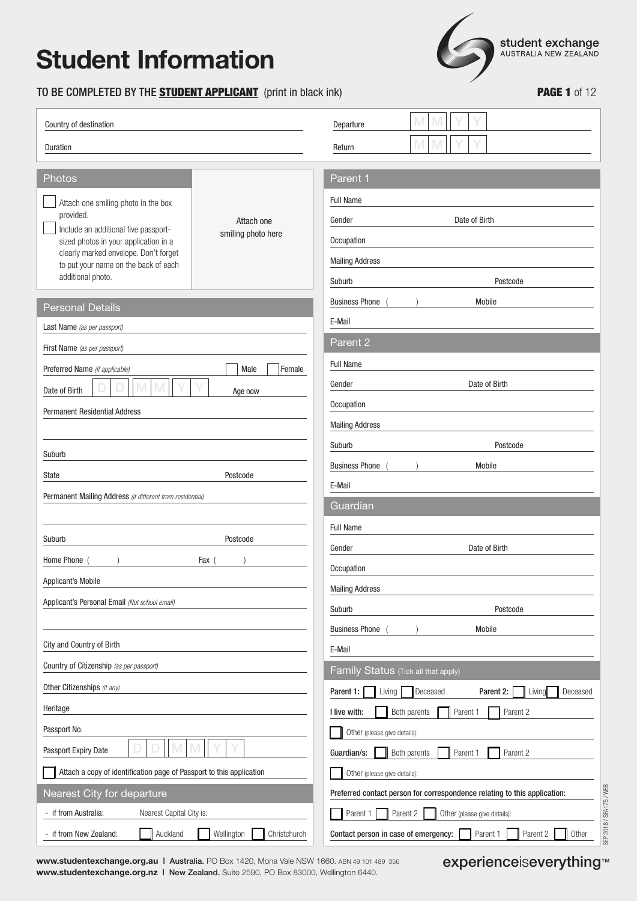### TO BE COMPLETED BY THE **STUDENT APPLICANT** (print in black ink) **PAGE 1** of 12



| Country of destination                                                                                                                                                                                                                  |                                  | Departure                                                                                                 |
|-----------------------------------------------------------------------------------------------------------------------------------------------------------------------------------------------------------------------------------------|----------------------------------|-----------------------------------------------------------------------------------------------------------|
| Duration                                                                                                                                                                                                                                |                                  | Return                                                                                                    |
| Photos                                                                                                                                                                                                                                  |                                  | Parent 1                                                                                                  |
| Attach one smiling photo in the box<br>provided.<br>Include an additional five passport-<br>sized photos in your application in a<br>clearly marked envelope. Don't forget<br>to put your name on the back of each<br>additional photo. | Attach one<br>smiling photo here | <b>Full Name</b><br>Date of Birth<br>Gender<br>Occupation<br><b>Mailing Address</b><br>Postcode<br>Suburb |
| <b>Personal Details</b>                                                                                                                                                                                                                 |                                  | <b>Business Phone</b><br>Mobile                                                                           |
| Last Name (as per passport)                                                                                                                                                                                                             |                                  | E-Mail                                                                                                    |
| First Name (as per passport)                                                                                                                                                                                                            |                                  | Parent 2                                                                                                  |
| Preferred Name (if applicable)                                                                                                                                                                                                          | Male<br>Female                   | Full Name                                                                                                 |
| Date of Birth                                                                                                                                                                                                                           |                                  | Date of Birth<br>Gender                                                                                   |
| <b>Permanent Residential Address</b>                                                                                                                                                                                                    | Age now                          | Occupation                                                                                                |
|                                                                                                                                                                                                                                         |                                  | <b>Mailing Address</b>                                                                                    |
|                                                                                                                                                                                                                                         |                                  | Suburb<br>Postcode                                                                                        |
| Suburb                                                                                                                                                                                                                                  |                                  | <b>Business Phone</b><br>Mobile                                                                           |
| State                                                                                                                                                                                                                                   | Postcode                         | E-Mail                                                                                                    |
| Permanent Mailing Address (if different from residential)                                                                                                                                                                               |                                  | Guardian                                                                                                  |
|                                                                                                                                                                                                                                         |                                  | <b>Full Name</b>                                                                                          |
| Suburb                                                                                                                                                                                                                                  | Postcode                         | Date of Birth<br>Gender                                                                                   |
| Home Phone                                                                                                                                                                                                                              | Fax                              | Occupation                                                                                                |
| <b>Applicant's Mobile</b>                                                                                                                                                                                                               |                                  | <b>Mailing Address</b>                                                                                    |
| Applicant's Personal Email (Not school email)                                                                                                                                                                                           |                                  | Suburb<br>Postcode                                                                                        |
|                                                                                                                                                                                                                                         |                                  | <b>Business Phone</b><br>Mobile                                                                           |
| City and Country of Birth                                                                                                                                                                                                               |                                  | E-Mail                                                                                                    |
| Country of Citizenship (as per passport)                                                                                                                                                                                                |                                  | Family Status (Tick all that apply)                                                                       |
| Other Citizenships (if any)                                                                                                                                                                                                             |                                  | Living<br>Deceased<br>Parent 2:<br>Deceased<br>Parent 1:<br>Living                                        |
| Heritage                                                                                                                                                                                                                                |                                  | I live with:<br>Both parents<br>Parent 1<br>Parent 2                                                      |
| Passport No.                                                                                                                                                                                                                            |                                  | Other (please give details):                                                                              |
| Passport Expiry Date                                                                                                                                                                                                                    |                                  | Guardian/s:<br>Both parents<br>Parent 1<br>Parent 2                                                       |
| Attach a copy of identification page of Passport to this application                                                                                                                                                                    |                                  | Other (please give details):                                                                              |
| Nearest City for departure                                                                                                                                                                                                              |                                  | Preferred contact person for correspondence relating to this application:                                 |
| - if from Australia:<br>Nearest Capital City is:                                                                                                                                                                                        |                                  | Parent 1<br>Parent 2<br>Other (please give details):                                                      |
| - if from New Zealand:<br>Auckland                                                                                                                                                                                                      | Wellington<br>Christchurch       | Parent 2<br>Other<br>Contact person in case of emergency:<br>Parent 1                                     |

**www.studentexchange.org.au | Australia. PO Box 1420, Mona Vale NSW 1660. ABN 49 101 489 356 experienceiseverything™ www.studentexchange.org.nz |** New Zealand. Suite 2590, PO Box 83000, Wellington 6440.

SEP 2018 / SEA175 / WEB

SEP 2018 / SEA175 / WEB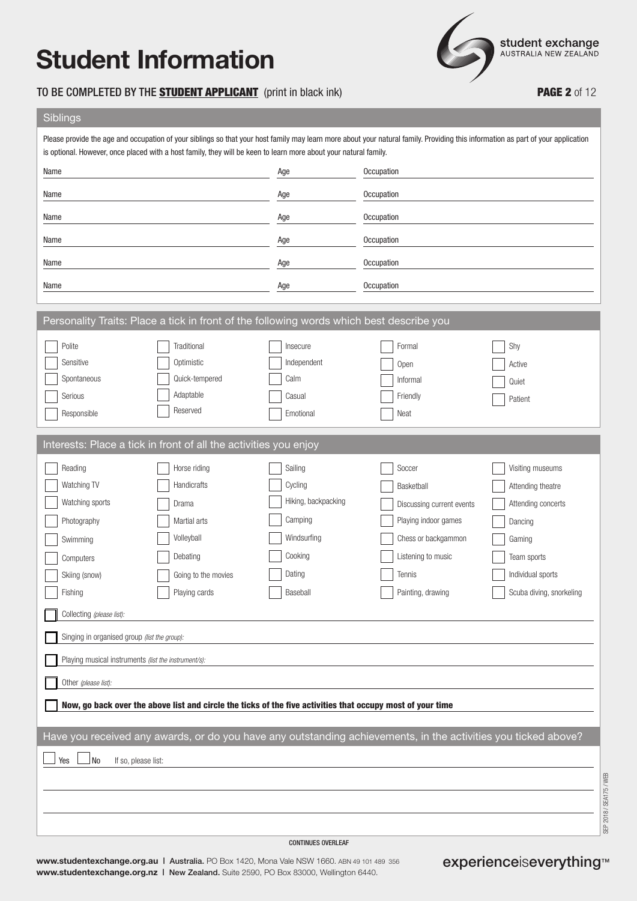### TO BE COMPLETED BY THE **STUDENT APPLICANT** (print in black ink) **PAGE 2** of 12

**student exchange**<br>AUSTRALIA NEW ZEALAND

### Siblings

| is optional. However, once placed with a host family, they will be keen to learn more about your natural family.                                                                                                                                                           |                                                                                                                                                                                                                                      |                                                                                                      | Please provide the age and occupation of your siblings so that your host family may learn more about your natural family. Providing this information as part of your application |                                                                                                                                                  |
|----------------------------------------------------------------------------------------------------------------------------------------------------------------------------------------------------------------------------------------------------------------------------|--------------------------------------------------------------------------------------------------------------------------------------------------------------------------------------------------------------------------------------|------------------------------------------------------------------------------------------------------|----------------------------------------------------------------------------------------------------------------------------------------------------------------------------------|--------------------------------------------------------------------------------------------------------------------------------------------------|
| Name                                                                                                                                                                                                                                                                       |                                                                                                                                                                                                                                      | Age                                                                                                  | Occupation                                                                                                                                                                       |                                                                                                                                                  |
| Name                                                                                                                                                                                                                                                                       |                                                                                                                                                                                                                                      | Age                                                                                                  | Occupation                                                                                                                                                                       |                                                                                                                                                  |
| Name                                                                                                                                                                                                                                                                       |                                                                                                                                                                                                                                      | Age                                                                                                  | Occupation                                                                                                                                                                       |                                                                                                                                                  |
| Name                                                                                                                                                                                                                                                                       |                                                                                                                                                                                                                                      | Age                                                                                                  | Occupation                                                                                                                                                                       |                                                                                                                                                  |
| Name                                                                                                                                                                                                                                                                       |                                                                                                                                                                                                                                      | Age                                                                                                  | Occupation                                                                                                                                                                       |                                                                                                                                                  |
| Name                                                                                                                                                                                                                                                                       |                                                                                                                                                                                                                                      | Age                                                                                                  | Occupation                                                                                                                                                                       |                                                                                                                                                  |
| Personality Traits: Place a tick in front of the following words which best describe you                                                                                                                                                                                   |                                                                                                                                                                                                                                      |                                                                                                      |                                                                                                                                                                                  |                                                                                                                                                  |
| Polite<br>Sensitive<br>Spontaneous<br>Serious<br>Responsible                                                                                                                                                                                                               | Traditional<br>Optimistic<br>Quick-tempered<br>Adaptable<br>Reserved                                                                                                                                                                 | Insecure<br>Independent<br>Calm<br>Casual<br>Emotional                                               | Formal<br>Open<br>Informal<br>Friendly<br>Neat                                                                                                                                   | Shy<br>Active<br>Quiet<br>Patient                                                                                                                |
| Interests: Place a tick in front of all the activities you enjoy                                                                                                                                                                                                           |                                                                                                                                                                                                                                      |                                                                                                      |                                                                                                                                                                                  |                                                                                                                                                  |
| Reading<br>Watching TV<br>Watching sports<br>Photography<br>Swimming<br>Computers<br>Skiing (snow)<br>Fishing<br>Collecting (please list):<br>Singing in organised group (list the group):<br>Playing musical instruments (list the instrument/s):<br>Other (please list): | Horse riding<br>Handicrafts<br>Drama<br>Martial arts<br>Volleyball<br>Debating<br>Going to the movies<br>Playing cards<br>Now, go back over the above list and circle the ticks of the five activities that occupy most of your time | Sailing<br>Cycling<br>Hiking, backpacking<br>Camping<br>Windsurfing<br>Cooking<br>Dating<br>Baseball | Soccer<br>Basketball<br>Discussing current events<br>Playing indoor games<br>Chess or backgammon<br>Listening to music<br>Tennis<br>Painting, drawing                            | Visiting museums<br>Attending theatre<br>Attending concerts<br>Dancing<br>Gaming<br>Team sports<br>Individual sports<br>Scuba diving, snorkeling |
| No<br>If so, please list:<br>Yes                                                                                                                                                                                                                                           |                                                                                                                                                                                                                                      |                                                                                                      | Have you received any awards, or do you have any outstanding achievements, in the activities you ticked above?                                                                   |                                                                                                                                                  |
|                                                                                                                                                                                                                                                                            |                                                                                                                                                                                                                                      |                                                                                                      |                                                                                                                                                                                  | SEP 2018 / SEA175 / WEB                                                                                                                          |

**www.studentexchange.org.au | Australia. PO Box 1420, Mona Vale NSW 1660. ABN 49 101 489 356 experienceiseverything™ www.studentexchange.org.nz |** New Zealand. Suite 2590, PO Box 83000, Wellington 6440.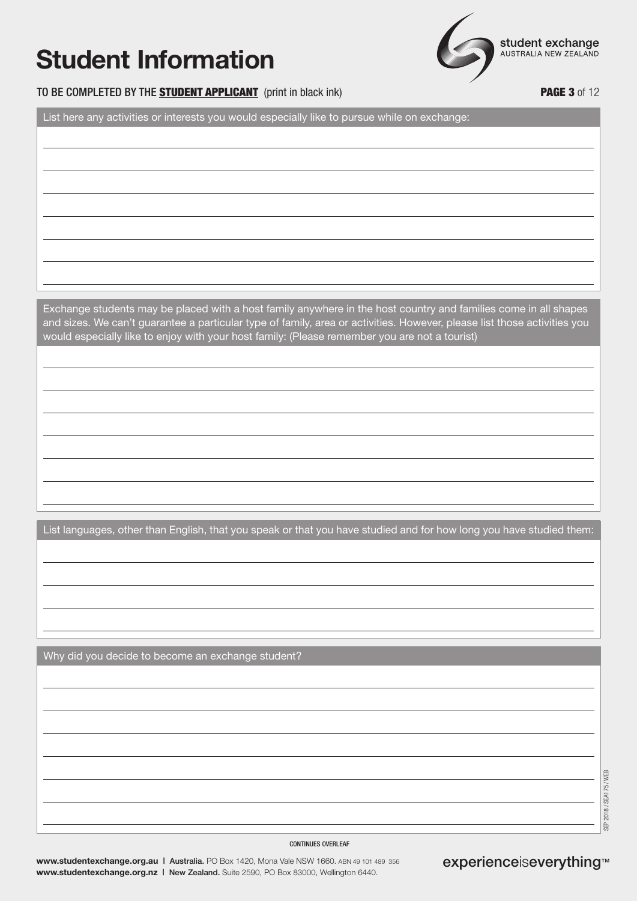

### TO BE COMPLETED BY THE STUDENT APPLICANT (print in black ink) **PAGE 3** of 12

List here any activities or interests you would especially like to pursue while on exchange:

Exchange students may be placed with a host family anywhere in the host country and families come in all shapes and sizes. We can't guarantee a particular type of family, area or activities. However, please list those activities you would especially like to enjoy with your host family: (Please remember you are not a tourist)

List languages, other than English, that you speak or that you have studied and for how long you have studied them:

Why did you decide to become an exchange student?

2018 / SEA175 / WEB SEP 2018 / SEA175 / WEB 。<br>第

#### CONTINUES OVERLEAF

**www.studentexchange.org.au | Australia. PO Box 1420, Mona Vale NSW 1660. ABN 49 101 489 356 experienceiseverything™ www.studentexchange.org.nz |** New Zealand. Suite 2590, PO Box 83000, Wellington 6440.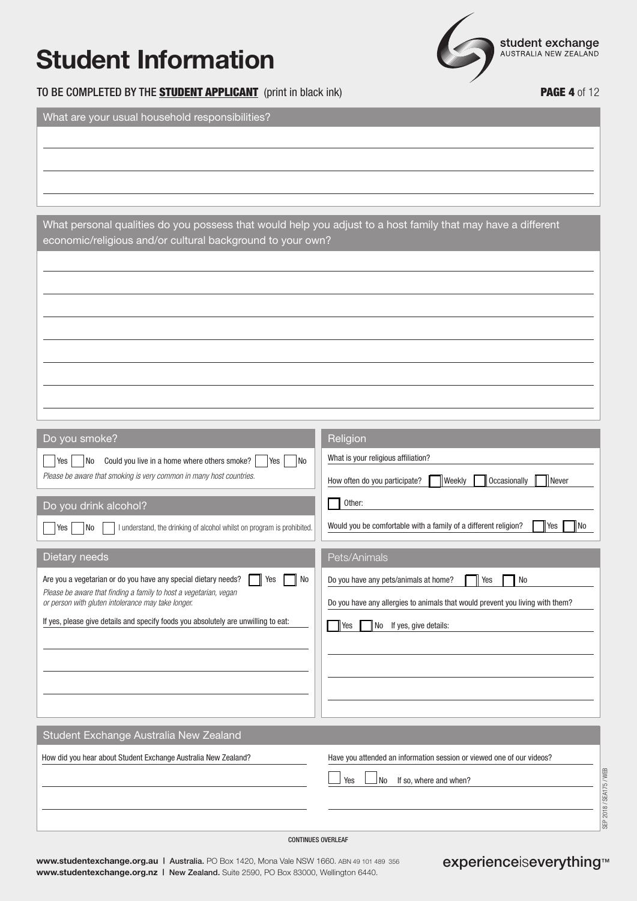**student exchange**<br>AUSTRALIA NEW ZEALAND

TO BE COMPLETED BY THE **STUDENT APPLICANT** (print in black ink) **PAGE 4** of 12

What are your usual household responsibilities?

| What personal qualities do you possess that would help you adjust to a host family that may have a different<br>economic/religious and/or cultural background to your own? |
|----------------------------------------------------------------------------------------------------------------------------------------------------------------------------|
|                                                                                                                                                                            |
|                                                                                                                                                                            |
|                                                                                                                                                                            |
|                                                                                                                                                                            |
|                                                                                                                                                                            |

| Do you smoke?                                                                                                           | Religion                                                                      |
|-------------------------------------------------------------------------------------------------------------------------|-------------------------------------------------------------------------------|
| Could you live in a home where others smoke?<br><b>No</b><br>No<br>Yes<br>Yes                                           | What is your religious affiliation?                                           |
| Please be aware that smoking is very common in many host countries.                                                     | Occasionally<br>How often do you participate?<br><b>Weekly</b><br>Never       |
| Do you drink alcohol?                                                                                                   | Other:                                                                        |
| I understand, the drinking of alcohol whilst on program is prohibited.<br>Yes<br>No                                     | Would you be comfortable with a family of a different religion?<br>Yes<br>No  |
| Dietary needs                                                                                                           | Pets/Animals                                                                  |
| Are you a vegetarian or do you have any special dietary needs?<br>Yes<br>No                                             | Do you have any pets/animals at home?<br>No<br>Yes                            |
| Please be aware that finding a family to host a vegetarian, vegan<br>or person with gluten intolerance may take longer. | Do you have any allergies to animals that would prevent you living with them? |
| If yes, please give details and specify foods you absolutely are unwilling to eat:                                      | If yes, give details:<br>Yes<br>  No                                          |
|                                                                                                                         |                                                                               |
|                                                                                                                         |                                                                               |
|                                                                                                                         |                                                                               |
|                                                                                                                         |                                                                               |
| Student Exchange Australia New Zealand                                                                                  |                                                                               |
| How did you hear about Student Exchange Australia New Zealand?                                                          | Have you attended an information session or viewed one of our videos?         |
|                                                                                                                         | Yes<br>N <sub>o</sub><br>If so, where and when?                               |
|                                                                                                                         | SEP 2018 / SEA175 / WEB                                                       |
|                                                                                                                         |                                                                               |

CONTINUES OVERLEAF

**www.studentexchange.org.au | Australia. PO Box 1420, Mona Vale NSW 1660. ABN 49 101 489 356 experienceiseverything™ www.studentexchange.org.nz |** New Zealand. Suite 2590, PO Box 83000, Wellington 6440.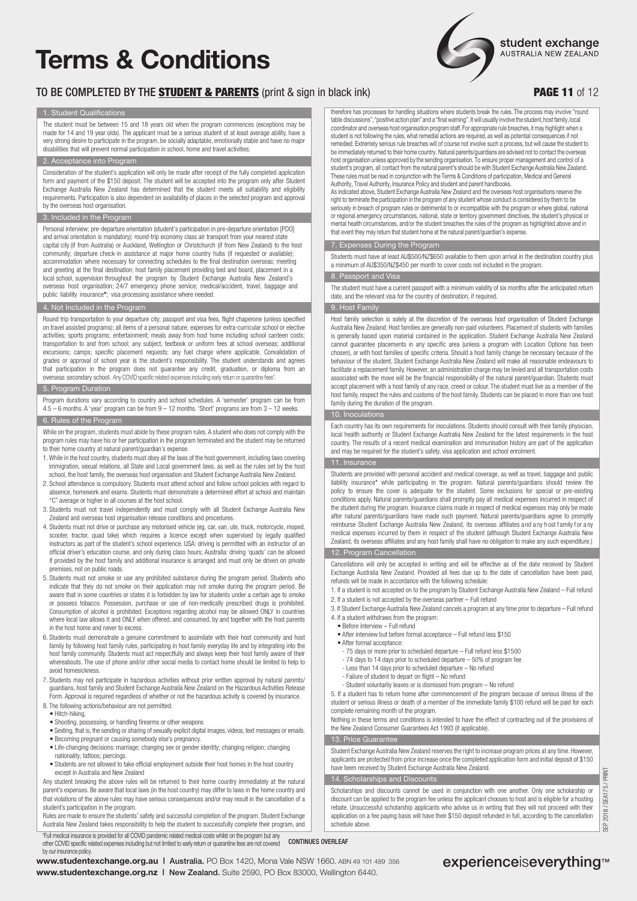# **Terms & Conditions**

### TO BE COMPLETED BY THE STUDENT & PARENTS (print & sign in black ink) **PAGE 11** of 12

student exchange AUSTRALIA NEW ZEALAND

#### 1. Student Qualifications

The student must be between 15 and 18 years old when the program commences (exceptions may be made for 14 and 19 year olds). The applicant must be a serious student of at least average ability, have a very strong desire to participate in the program, be socially adaptable, emotionally stable and have no major disabilities that will prevent normal participation in school, home and travel activities.

#### eptance into Program

Consideration of the student's application will only be made after receipt of the fully completed application form and payment of the \$150 deposit. The student will be accepted into the program only after Student Exchange Australia New Zealand has determined that the student meets all suitability and eligibility requirements. Participation is also dependent on availability of places in the selected program and approval by the overseas host organisation.

#### 3. Included in the Program

Personal interview; pre-departure orientation (student's participation in pre-departure orientation [PDO] and arrival orientation is mandatory); round-trip economy class air transport from your nearest state capital city (if from Australia) or Auckland, Wellington or Christchurch (if from New Zealand) to the host community; departure check-in assistance at major home country hubs (if requested or available); accommodation where necessary for connecting schedules to the final destination overseas; meeting and greeting at the final destination; host family placement providing bed and board, placement in a local school, supervision throughout the program by Student Exchange Australia New Zealand's overseas host organisation; 24/7 emergency phone service; medical/accident, travel, baggage and public liability insurance**\***; visa processing assistance where needed.

#### Not Included in the Program

Round trip transportation to your departure city; passport and visa fees, flight chaperone (unless specified on travel assisted programs); all items of a personal nature; expenses for extra-curricular school or elective activities; sports programs; entertainment; meals away from host home including school canteen costs; transportation to and from school; any subject, textbook or uniform fees at school overseas; additional excursions; camps; specific placement requests; any fuel charge where applicable. Convalidation of grades or approval of school year is the student's responsibility. The student understands and agrees that participation in the program does not guarantee any credit, graduation, or diploma from an overseas secondary school. Any COVID specific related expenses including early return or quarantine fees

#### ogram Duration

Program durations vary according to country and school schedules. A 'semester' program can be from 4.5 – 6 months. A 'year' program can be from 9 – 12 months. 'Short' programs are from 3 – 12 weeks. 6. of the Program

While on the program, students must abide by these program rules. A student who does not comply with the program rules may have his or her participation in the program terminated and the student may be returned to their home country at natural parent/guardian's expense.

- 1. While in the host country, students must obey all the laws of the host government, including laws covering immigration, sexual relations, all State and Local government laws, as well as the rules set by the host school, the host family, the overseas host organisation and Student Exchange Australia New Zealand.
- 2. School attendance is compulsory. Students must attend school and follow school policies with regard to absence, homework and exams. Students must demonstrate a determined effort at school and maintain "C" average or higher in all courses at the host school.
- 3. Students must not travel independently and must comply with all Student Exchange Australia New Zealand and overseas host organisation release conditions and procedures.
- 4. Students must not drive or purchase any motorised vehicle (eg, car, van, ute, truck, motorcycle, moped, scooter, tractor, quad bike) which requires a licence except when supervised by legally qualified instructors as part of the student's school experience. USA: driving is permitted with an instructor of an official driver's education course, and only during class hours; Australia: driving 'quads' can be allowed if provided by the host family and additional insurance is arranged and must only be driven on private premises, not on public roads.
- 5. Students must not smoke or use any prohibited substance during the program period. Students who indicate that they do not smoke on their application may not smoke during the program period. Be aware that in some countries or states it is forbidden by law for students under a certain age to smoke or possess tobacco. Possession, purchase or use of non-medically prescribed drugs is prohibited. Consumption of alcohol is prohibited. Exceptions regarding alcohol may be allowed ONLY in countries where local law allows it and ONLY when offered, and consumed, by and together with the host parents in the host home and never to excess.
- 6. Students must demonstrate a genuine commitment to assimilate with their host community and host family by following host family rules, participating in host family everyday life and by integrating into the host family community. Students must act respectfully and always keep their host family aware of their whereabouts. The use of phone and/or other social media to contact home should be limited to help to avoid homesickness.
- 7. Students may not participate in hazardous activities without prior written approval by natural parents/ guardians, host family and Student Exchange Australia New Zealand on the Hazardous Activities Release Form. Approval is required regardless of whether or not the hazardous activity is covered by insurance.
- 8. The following actions/behaviour are not permitted:
- Hitch-hiking,
- Shooting, possessing, or handling firearms or other weapons
- Sexting, that is, the sending or sharing of sexually explicit digital images, videos, text messages or emails. • Becoming pregnant or causing somebody else's pregnancy.
- Life-changing decisions: marriage; changing sex or gender identity; changing religion; changing nationality; tattoos; piercings.
- Students are not allowed to take official employment outside their host homes in the host country except in Australia and New Zealand

Any student breaking the above rules will be returned to their home country immediately at the natural parent's expenses. Be aware that local laws (in the host country) may differ to laws in the home country and that violations of the above rules may have serious consequences and/or may result in the cancellation of a student's participation in the program.

Rules are made to ensure the students' safety and successful completion of the program. Student Exchange Australia New Zealand takes responsibility to help the student to successfully complete their program, and \*Full medical insurance is provided for all COVID pandemic related medical costs whilst on the program but any

other COVID specific related expenses including but not limited to early return or quarantine fees are not covered by our insurance policy.

**www.studentexchange.org.nz |** New Zealand. Suite 2590, PO Box 83000, Wellington 6440.

therefore has processes for handling situations where students break the rules. The process may involve "round table discussions", "positive action plan" and a "final warning". It will usually involve the student, host family, local coordinator and overseas host organisation program staff. For appropriate rule breaches, it may highlight when a<br>student is not following the rules, what remedial actions are required, as well as potential consequences if remedied. Extremely serious rule breaches will of course not involve such a process, but will cause the student to be immediately returned to their home country. Natural parents/guardians are advised not to contact the overseas host organisation unless approved by the sending organisation. To ensure proper management and control of a student's program, all contact from the natural parent's should be with Student Exchange Australia New Zealand. These rules must be read in conjunction with the Terms & Conditions of participation, Medical and General Authority, Travel Authority, Insurance Policy and student and parent handbooks.

As indicated above, Student Exchange Australia New Zealand and the overseas host organisations reserve the right to terminate the participation in the program of any student whose conduct is considered by them to be seriously in breach of program rules or detrimental to or incompatible with the program or where global, national or regional emergency circumstances, national, state or territory government directives, the student's physical or mental health circumstances, and/or the student breaches the rules of the program as highlighted above and in that event they may return that student home at the natural parent/guardian's expense.

#### enses During the Program

Students must have at least AU\$500/NZ\$650 available to them upon arrival in the destination country plus a minimum of AU\$350/NZ\$450 per month to cover costs not included in the program.

#### 8. Passport and Visa

The student must have a current passport with a minimum validity of six months after the anticipated return date, and the relevant visa for the country of destination, if required.

#### 9. Host Family

Host family selection is solely at the discretion of the overseas host organisation of Student Exchange Australia New Zealand. Host families are generally non-paid volunteers. Placement of students with families is generally based upon material contained in the application. Student Exchange Australia New Zealand cannot guarantee placements in any specific area (unless a program with Location Options has been chosen), or with host families of specific criteria. Should a host family change be necessary because of the behaviour of the student, Student Exchange Australia New Zealand will make all reasonable endeavours to facilitate a replacement family. However, an administration charge may be levied and all transportation costs associated with the move will be the financial responsibility of the natural parent/guardian. Students must accept placement with a host family of any race, creed or colour. The student must live as a member of the host family, respect the rules and customs of the host family. Students can be placed in more than one host family during the duration of the program.

#### 10. Inoculations

Each country has its own requirements for inoculations. Students should consult with their family physician, local health authority or Student Exchange Australia New Zealand for the latest requirements in the host country. The results of a recent medical examination and immunisation history are part of the application and may be required for the student's safety, visa application and school enrolment.

#### 11. Insurance

Students are provided with personal accident and medical coverage, as well as travel, baggage and public liability insurance\* while participating in the program. Natural parents/guardians should review the policy to ensure the cover is adequate for the student. Some exclusions for special or pre-existing conditions apply. Natural parents/guardians shall promptly pay all medical expenses incurred in respect of the student during the program. Insurance claims made in respect of medical expenses may only be made after natural parents/guardians have made such payment. Natural parents/guardians agree to promptly reimburse Student Exchange Australia New Zealand, its overseas affiliates and any host family for any medical expenses incurred by them in respect of the student (although Student Exchange Australia New Zealand, its overseas affiliates and any host family shall have no obligation to make any such expenditure.)

12. Program Cancellation

Cancellations will only be accepted in writing and will be effective as of the date received by Student Exchange Australia New Zealand. Provided all fees due up to the date of cancellation have been paid, refunds will be made in accordance with the following schedule:

- 1. If a student is not accepted on to the program by Student Exchange Australia New Zealand Full refund 2. If a student is not accepted by the overseas partner – Full refund
- 3. If Student Exchange Australia New Zealand cancels a program at any time prior to departure Full refund
- 4. If a student withdraws from the program:
- Before interview Full refund
- After interview but before formal acceptance Full refund less \$150
- After formal acceptance
	- 75 days or more prior to scheduled departure Full refund less \$1500
- 74 days to 14 days prior to scheduled departure 50% of program fee
- Less than 14 days prior to scheduled departure No refund - Failure of student to depart on flight – No refund
- Student voluntarily leaves or is dismissed from program No refund

5. If a student has to return home after commencement of the program because of serious illness of the student or serious illness or death of a member of the immediate family \$100 refund will be paid for each complete remaining month of the program.

Nothing in these terms and conditions is intended to have the effect of contracting out of the provisions of the New Zealand Consumer Guarantees Act 1993 (if applicable).

#### 13. Price Gu

Student Exchange Australia New Zealand reserves the right to increase program prices at any time. However, applicants are protected from price increase once the completed application form and initial deposit of \$150 have been received by Student Exchange Australia New Zealand.

#### Scholarships and Discounts

Scholarships and discounts cannot be used in conjunction with one another. Only one scholarship or discount can be applied to the program fee unless the applicant chooses to host and is eligible for a hosting rebate. Unsuccessful scholarship applicants who advise us in writing that they will not proceed with their application on a fee paying basis will have their \$150 deposit refunded in full, according to the cancellation schedule above.

### **www.studentexchange.org.au | Australia.** PO Box 1420, Mona Vale NSW 1660. ABN 49 101 489 356 **experienceiseverything**™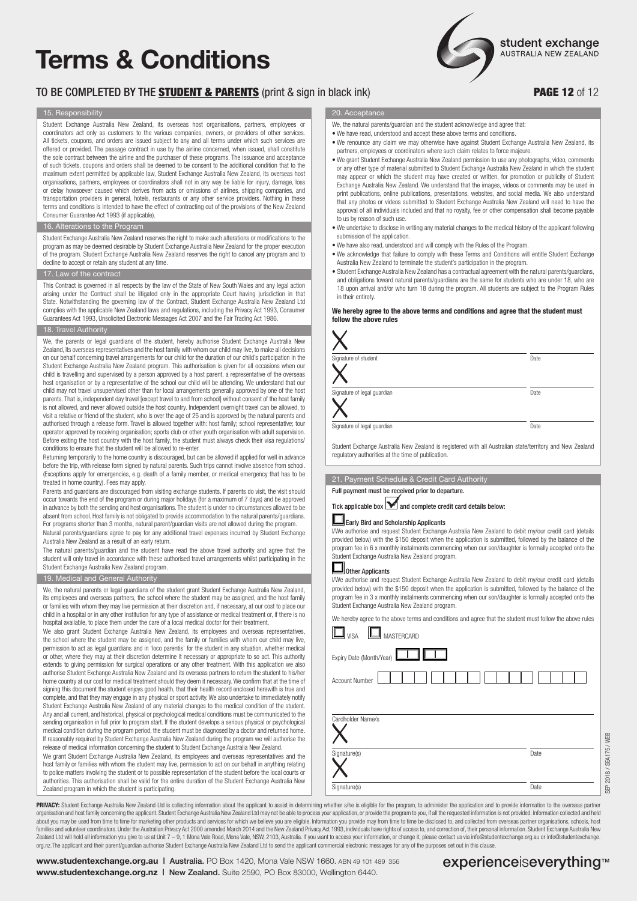# **Terms & Conditions**

### TO BE COMPLETED BY THE STUDENT & PARENTS (print & sign in black ink) PAGE 12 of 12

#### 15. Responsibility

Student Exchange Australia New Zealand, its overseas host organisations, partners, employees or coordinators act only as customers to the various companies, owners, or providers of other services. All tickets, coupons, and orders are issued subject to any and all terms under which such services are offered or provided. The passage contract in use by the airline concerned, when issued, shall constitute the sole contract between the airline and the purchaser of these programs. The issuance and acceptance of such tickets, coupons and orders shall be deemed to be consent to the additional condition that to the maximum extent permitted by applicable law, Student Exchange Australia New Zealand, its overseas host organisations, partners, employees or coordinators shall not in any way be liable for injury, damage, loss or delay howsoever caused which derives from acts or omissions of airlines, shipping companies, and transportation providers in general, hotels, restaurants or any other service providers. Nothing in these terms and conditions is intended to have the effect of contracting out of the provisions of the New Zealand Consumer Guarantee Act 1993 (if applicable).

#### 16. Alterations to the Program

Student Exchange Australia New Zealand reserves the right to make such alterations or modifications to the program as may be deemed desirable by Student Exchange Australia New Zealand for the proper execution of the program. Student Exchange Australia New Zealand reserves the right to cancel any program and to decline to accept or retain any student at any time.

#### 17. Law of the contract

This Contract is governed in all respects by the law of the State of New South Wales and any legal action arising under the Contract shall be litigated only in the appropriate Court having jurisdiction in that State. Notwithstanding the governing law of the Contract, Student Exchange Australia New Zealand Ltd complies with the applicable New Zealand laws and regulations, including the Privacy Act 1993, Consumer Guarantees Act 1993, Unsolicited Electronic Messages Act 2007 and the Fair Trading Act 1986.

#### 18. Travel Authority

We, the parents or legal guardians of the student, hereby authorise Student Exchange Australia New Zealand, its overseas representatives and the host family with whom our child may live, to make all decisions on our behalf concerning travel arrangements for our child for the duration of our child's participation in the Student Exchange Australia New Zealand program. This authorisation is given for all occasions when our child is travelling and supervised by a person approved by a host parent, a representative of the overseas host organisation or by a representative of the school our child will be attending. We understand that our child may not travel unsupervised other than for local arrangements generally approved by one of the host parents. That is, independent day travel [except travel to and from school] without consent of the host family is not allowed, and never allowed outside the host country. Independent overnight travel can be allowed, to visit a relative or friend of the student, who is over the age of 25 and is approved by the natural parents and authorised through a release form. Travel is allowed together with: host family; school representative; tour operator approved by receiving organisation; sports club or other youth organisation with adult supervision. Before exiting the host country with the host family, the student must always check their visa regulations/ conditions to ensure that the student will be allowed to re-enter.

Returning temporarily to the home country is discouraged, but can be allowed if applied for well in advance before the trip, with release form signed by natural parents. Such trips cannot involve absence from school. (Exceptions apply for emergencies, e.g. death of a family member, or medical emergency that has to be treated in home country). Fees may apply.

Parents and guardians are discouraged from visiting exchange students. If parents do visit, the visit should occur towards the end of the program or during major holidays (for a maximum of 7 days) and be approved in advance by both the sending and host organisations. The student is under no circumstances allowed to be absent from school. Host family is not obligated to provide accommodation to the natural parents/guardians. For programs shorter than 3 months, natural parent/guardian visits are not allowed during the program. Natural parents/guardians agree to pay for any additional travel expenses incurred by Student Exchange Australia New Zealand as a result of an early return.

The natural parents/guardian and the student have read the above travel authority and agree that the student will only travel in accordance with these authorised travel arrangements whilst participating in the Student Exchange Australia New Zealand program.

#### 19. Medical and General Authority

We, the natural parents or legal guardians of the student grant Student Exchange Australia New Zealand, its employees and overseas partners, the school where the student may be assigned, and the host family or families with whom they may live permission at their discretion and, if necessary, at our cost to place our child in a hospital or in any other institution for any type of assistance or medical treatment or, if there is no hospital available, to place them under the care of a local medical doctor for their treatment.

We also grant Student Exchange Australia New Zealand, its employees and overseas representatives, the school where the student may be assigned, and the family or families with whom our child may live, permission to act as legal guardians and in 'loco parentis' for the student in any situation, whether medical or other, where they may at their discretion determine it necessary or appropriate to so act. This authority extends to giving permission for surgical operations or any other treatment. With this application we also authorise Student Exchange Australia New Zealand and its overseas partners to return the student to his/her home country at our cost for medical treatment should they deem it necessary. We confirm that at the time of signing this document the student enjoys good health, that their health record enclosed herewith is true and complete, and that they may engage in any physical or sport activity. We also undertake to immediately notify Student Exchange Australia New Zealand of any material changes to the medical condition of the student. Any and all current, and historical, physical or psychological medical conditions must be communicated to the sending organisation in full prior to program start. If the student develops a serious physical or psychological medical condition during the program period, the student must be diagnosed by a doctor and returned home. If reasonably required by Student Exchange Australia New Zealand during the program we will authorise the release of medical information concerning the student to Student Exchange Australia New Zealand.

We grant Student Exchange Australia New Zealand, its employees and overseas representatives and the host family or families with whom the student may live, permission to act on our behalf in anything relating to police matters involving the student or to possible representation of the student before the local courts or authorities. This authorisation shall be valid for the entire duration of the Student Exchange Australia New Zealand program in which the student is participating.

20. Acceptance

- We, the natural parents/guardian and the student acknowledge and agree that
- We have read, understood and accept these above terms and conditions.
- We renounce any claim we may otherwise have against Student Exchange Australia New Zealand, its partners, employees or coordinators where such claim relates to force majeure.
- We grant Student Exchange Australia New Zealand permission to use any photographs, video, comments or any other type of material submitted to Student Exchange Australia New Zealand in which the student may appear or which the student may have created or written, for promotion or publicity of Student Exchange Australia New Zealand. We understand that the images, videos or comments may be used in print publications, online publications, presentations, websites, and social media. We also understand that any photos or videos submitted to Student Exchange Australia New Zealand will need to have the approval of all individuals included and that no royalty, fee or other compensation shall become payable to us by reason of such use.
- We undertake to disclose in writing any material changes to the medical history of the applicant following submission of the application.
- We have also read, understood and will comply with the Rules of the Program.
- We acknowledge that failure to comply with these Terms and Conditions will entitle Student Exchange Australia New Zealand to terminate the student's participation in the program.
- Student Exchange Australia New Zealand has a contractual agreement with the natural parents/guardians, and obligations toward natural parents/guardians are the same for students who are under 18, who are 18 upon arrival and/or who turn 18 during the program. All students are subject to the Program Rules in their entirety.

#### **We hereby agree to the above terms and conditions and agree that the student must follow the above rules**

| Signature of student        | Date |
|-----------------------------|------|
| Signature of legal guardian | Date |
| Signature of legal guardian | Date |

dent Exchange Australia New Zealand is registered with all Australian state/territory and New Zealand regulatory authorities at the time of publication.

#### 21. Payment Schedule & Credit Card Authority

Full payment must be received prior to departure.



### $\blacksquare$  Early Bird and Scholarship Applicants

I/We authorise and request Student Exchange Australia New Zealand to debit my/our credit card (details provided below) with the \$150 deposit when the application is submitted, followed by the balance of the program fee in 6 x monthly instalments commencing when our son/daughter is formally accepted onto the Student Exchange Australia New Zealand program.

### Ol<sub>Other Applicants</sub>

I/We authorise and request Student Exchange Australia New Zealand to debit my/our credit card (details provided below) with the \$150 deposit when the application is submitted, followed by the balance of the program fee in 3 x monthly instalments commencing when our son/daughter is formally accepted onto the Student Exchange Australia New Zealand program.

| $\mathbf 1$ mastercard<br>$\mathsf{I}_{\mathsf{VISA}}$ |      |
|--------------------------------------------------------|------|
| Expiry Date (Month/Year)                               |      |
| <b>Account Number</b>                                  |      |
|                                                        |      |
| Cardholder Name/s                                      |      |
|                                                        |      |
|                                                        |      |
|                                                        | Date |
| Signature(s)                                           |      |

PRIVACY: Student Exchange Australia New Zealand Ltd is collecting information about the applicant to assist in determining whether s/he is eligible for the program, to administer the application and to provide information organisation and host family concerning the applicant. Student Exchange Australia New Zealand Ltd may not be able to process your application, or provide the program to you, if all the requested information is not provided about you may be used from time to time for marketing other products and services for which we believe you are eligible. Information you provide may from time to time be disclosed to, and collected from overseas partner or Zealand Ltd will hold all information you give to us at Unit 7 - 9, 1 Mona Vale Road, Mona Vale, NSW, 2103, Australia. If you want to access your information, or change it, please contact us via info@studentexchange.org au org.nz.The applicant and their parent/guardian authorise Student Exchange Australia New Zealand Ltd to send the applicant commercial electronic messages for any of the purposes set out in this clause.

**www.studentexchange.org.au | Australia.** PO Box 1420, Mona Vale NSW 1660. ABN 49 101 489 356 **experienceiseverything**™ **www.studentexchange.org.nz |** New Zealand. Suite 2590, PO Box 83000, Wellington 6440.

SEP 2018 / SEA175 / WEB

2018 / SEA175 / WEB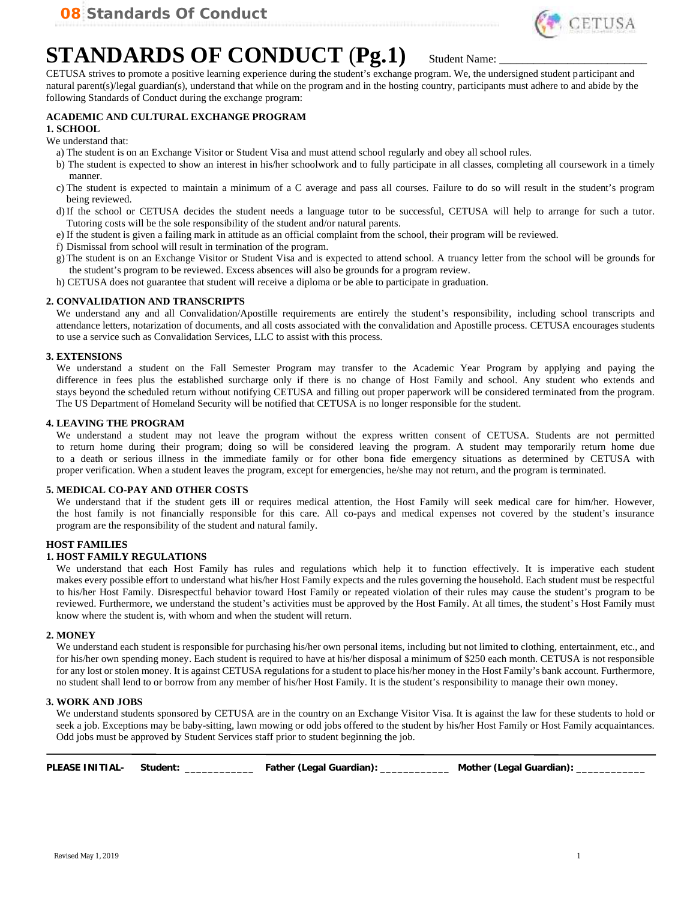

## **STANDARDS OF CONDUCT (Pg.1)** Student Name:

CETUSA strives to promote a positive learning experience during the student's exchange program. We, the undersigned student participant and natural parent(s)/legal guardian(s), understand that while on the program and in the hosting country, participants must adhere to and abide by the following Standards of Conduct during the exchange program:

### **ACADEMIC AND CULTURAL EXCHANGE PROGRAM**

#### **1. SCHOOL**

#### We understand that:

- a) The student is on an Exchange Visitor or Student Visa and must attend school regularly and obey all school rules.
- b) The student is expected to show an interest in his/her schoolwork and to fully participate in all classes, completing all coursework in a timely manner.
- c) The student is expected to maintain a minimum of a C average and pass all courses. Failure to do so will result in the student's program being reviewed.
- d)If the school or CETUSA decides the student needs a language tutor to be successful, CETUSA will help to arrange for such a tutor. Tutoring costs will be the sole responsibility of the student and/or natural parents.
- e) If the student is given a failing mark in attitude as an official complaint from the school, their program will be reviewed.
- f) Dismissal from school will result in termination of the program.
- g) The student is on an Exchange Visitor or Student Visa and is expected to attend school. A truancy letter from the school will be grounds for the student's program to be reviewed. Excess absences will also be grounds for a program review.
- h) CETUSA does not guarantee that student will receive a diploma or be able to participate in graduation.

#### **2. CONVALIDATION AND TRANSCRIPTS**

We understand any and all Convalidation/Apostille requirements are entirely the student's responsibility, including school transcripts and attendance letters, notarization of documents, and all costs associated with the convalidation and Apostille process. CETUSA encourages students to use a service such as Convalidation Services, LLC to assist with this process.

#### **3. EXTENSIONS**

We understand a student on the Fall Semester Program may transfer to the Academic Year Program by applying and paying the difference in fees plus the established surcharge only if there is no change of Host Family and school. Any student who extends and stays beyond the scheduled return without notifying CETUSA and filling out proper paperwork will be considered terminated from the program. The US Department of Homeland Security will be notified that CETUSA is no longer responsible for the student.

#### **4. LEAVING THE PROGRAM**

We understand a student may not leave the program without the express written consent of CETUSA. Students are not permitted to return home during their program; doing so will be considered leaving the program. A student may temporarily return home due to a death or serious illness in the immediate family or for other bona fide emergency situations as determined by CETUSA with proper verification. When a student leaves the program, except for emergencies, he/she may not return, and the program is terminated.

#### **5. MEDICAL CO-PAY AND OTHER COSTS**

We understand that if the student gets ill or requires medical attention, the Host Family will seek medical care for him/her. However, the host family is not financially responsible for this care. All co-pays and medical expenses not covered by the student's insurance program are the responsibility of the student and natural family.

#### **HOST FAMILIES**

#### **1. HOST FAMILY REGULATIONS**

We understand that each Host Family has rules and regulations which help it to function effectively. It is imperative each student makes every possible effort to understand what his/her Host Family expects and the rules governing the household. Each student must be respectful to his/her Host Family. Disrespectful behavior toward Host Family or repeated violation of their rules may cause the student's program to be reviewed. Furthermore, we understand the student's activities must be approved by the Host Family. At all times, the student's Host Family must know where the student is, with whom and when the student will return.

#### **2. MONEY**

We understand each student is responsible for purchasing his/her own personal items, including but not limited to clothing, entertainment, etc., and for his/her own spending money. Each student is required to have at his/her disposal a minimum of \$250 each month. CETUSA is not responsible for any lost or stolen money. It is against CETUSA regulations for a student to place his/her money in the Host Family's bank account. Furthermore, no student shall lend to or borrow from any member of his/her Host Family. It is the student's responsibility to manage their own money.

#### **3. WORK AND JOBS**

We understand students sponsored by CETUSA are in the country on an Exchange Visitor Visa. It is against the law for these students to hold or seek a job. Exceptions may be baby-sitting, lawn mowing or odd jobs offered to the student by his/her Host Family or Host Family acquaintances. Odd jobs must be approved by Student Services staff prior to student beginning the job.

| PLEASE INITIAL- | Student: | Father (Legal Guardian): | Mother (Legal Guardian). |
|-----------------|----------|--------------------------|--------------------------|
|                 |          |                          |                          |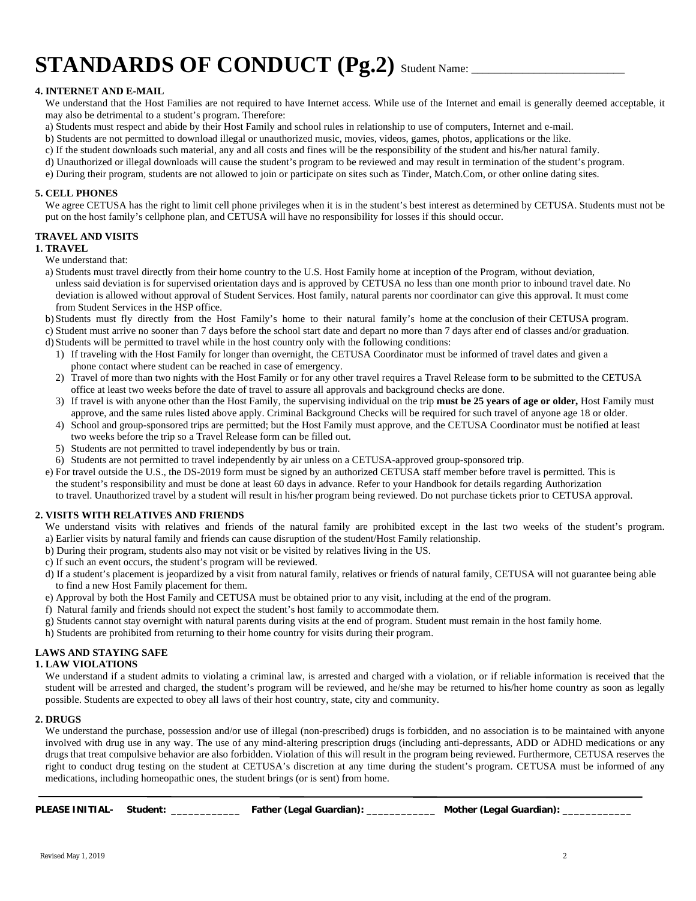# **STANDARDS OF CONDUCT** (Pg.2) Student Name:

#### **4. INTERNET AND E-MAIL**

We understand that the Host Families are not required to have Internet access. While use of the Internet and email is generally deemed acceptable, it may also be detrimental to a student's program. Therefore:

- a) Students must respect and abide by their Host Family and school rules in relationship to use of computers, Internet and e-mail.
- b) Students are not permitted to download illegal or unauthorized music, movies, videos, games, photos, applications or the like.
- c) If the student downloads such material, any and all costs and fines will be the responsibility of the student and his/her natural family.
- d) Unauthorized or illegal downloads will cause the student's program to be reviewed and may result in termination of the student's program.

e) During their program, students are not allowed to join or participate on sites such as Tinder, Match.Com, or other online dating sites.

#### **5. CELL PHONES**

We agree CETUSA has the right to limit cell phone privileges when it is in the student's best interest as determined by CETUSA. Students must not be put on the host family's cellphone plan, and CETUSA will have no responsibility for losses if this should occur.

#### **TRAVEL AND VISITS**

#### **1. TRAVEL**

We understand that:

a) Students must travel directly from their home country to the U.S. Host Family home at inception of the Program, without deviation, unless said deviation is for supervised orientation days and is approved by CETUSA no less than one month prior to inbound travel date. No deviation is allowed without approval of Student Services. Host family, natural parents nor coordinator can give this approval. It must come from Student Services in the HSP office.

b) Students must fly directly from the Host Family's home to their natural family's home at the conclusion of their CETUSA program. c) Student must arrive no sooner than 7 days before the school start date and depart no more than 7 days after end of classes and/or graduation.

- d) Students will be permitted to travel while in the host country only with the following conditions:
	- 1) If traveling with the Host Family for longer than overnight, the CETUSA Coordinator must be informed of travel dates and given a phone contact where student can be reached in case of emergency.
	- 2) Travel of more than two nights with the Host Family or for any other travel requires a Travel Release form to be submitted to the CETUSA office at least two weeks before the date of travel to assure all approvals and background checks are done.
	- 3) If travel is with anyone other than the Host Family, the supervising individual on the trip **must be 25 years of age or older,** Host Family must approve, and the same rules listed above apply. Criminal Background Checks will be required for such travel of anyone age 18 or older.
	- 4) School and group-sponsored trips are permitted; but the Host Family must approve, and the CETUSA Coordinator must be notified at least two weeks before the trip so a Travel Release form can be filled out.
	- 5) Students are not permitted to travel independently by bus or train.
- 6) Students are not permitted to travel independently by air unless on a CETUSA-approved group-sponsored trip.
- e) For travel outside the U.S., the DS-2019 form must be signed by an authorized CETUSA staff member before travel is permitted. This is the student's responsibility and must be done at least 60 days in advance. Refer to your Handbook for details regarding Authorization to travel. Unauthorized travel by a student will result in his/her program being reviewed. Do not purchase tickets prior to CETUSA approval.

#### **2. VISITS WITH RELATIVES AND FRIENDS**

We understand visits with relatives and friends of the natural family are prohibited except in the last two weeks of the student's program. a) Earlier visits by natural family and friends can cause disruption of the student/Host Family relationship.

- b) During their program, students also may not visit or be visited by relatives living in the US.
- c) If such an event occurs, the student's program will be reviewed.
- d) If a student's placement is jeopardized by a visit from natural family, relatives or friends of natural family, CETUSA will not guarantee being able to find a new Host Family placement for them.
- e) Approval by both the Host Family and CETUSA must be obtained prior to any visit, including at the end of the program.
- f) Natural family and friends should not expect the student's host family to accommodate them.
- g) Students cannot stay overnight with natural parents during visits at the end of program. Student must remain in the host family home.
- h) Students are prohibited from returning to their home country for visits during their program.

#### **LAWS AND STAYING SAFE**

#### **1. LAW VIOLATIONS**

We understand if a student admits to violating a criminal law, is arrested and charged with a violation, or if reliable information is received that the student will be arrested and charged, the student's program will be reviewed, and he/she may be returned to his/her home country as soon as legally possible. Students are expected to obey all laws of their host country, state, city and community.

#### **2. DRUGS**

We understand the purchase, possession and/or use of illegal (non-prescribed) drugs is forbidden, and no association is to be maintained with anyone involved with drug use in any way. The use of any mind-altering prescription drugs (including anti-depressants, ADD or ADHD medications or any drugs that treat compulsive behavior are also forbidden. Violation of this will result in the program being reviewed. Furthermore, CETUSA reserves the right to conduct drug testing on the student at CETUSA's discretion at any time during the student's program. CETUSA must be informed of any medications, including homeopathic ones, the student brings (or is sent) from home.

| PLEASE INITIAL- Student: |  | Father (Legal Guardian): | Mother (Legal Guardian). |  |
|--------------------------|--|--------------------------|--------------------------|--|
|--------------------------|--|--------------------------|--------------------------|--|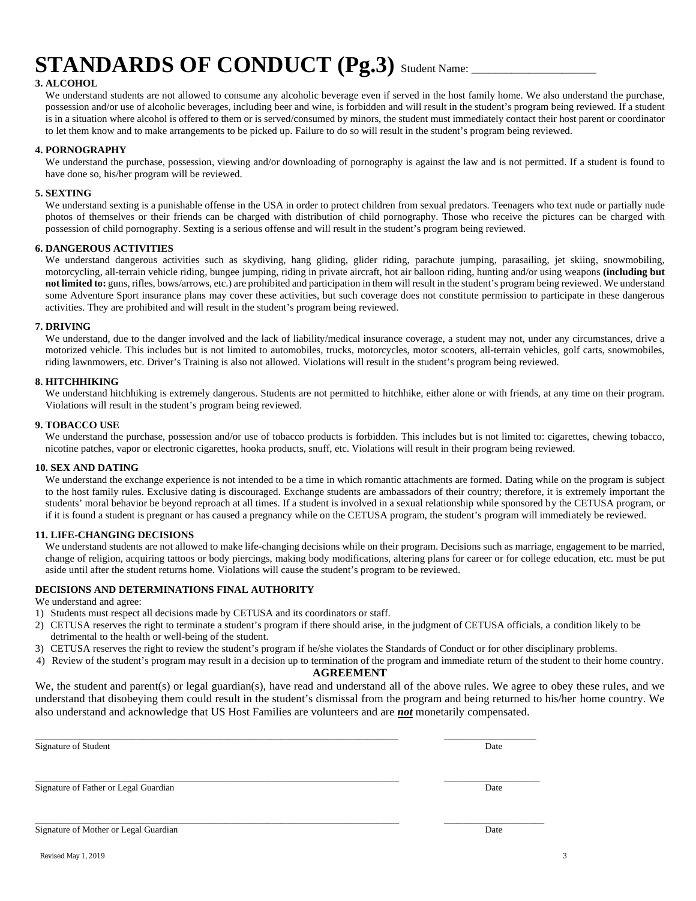# **STANDARDS OF CONDUCT** (Pg.3) Student Name:

#### **3. ALCOHOL**

We understand students are not allowed to consume any alcoholic beverage even if served in the host family home. We also understand the purchase, possession and/or use of alcoholic beverages, including beer and wine, is forbidden and will result in the student's program being reviewed. If a student is in a situation where alcohol is offered to them or is served/consumed by minors, the student must immediately contact their host parent or coordinator to let them know and to make arrangements to be picked up. Failure to do so will result in the student's program being reviewed.

#### **4. PORNOGRAPHY**

We understand the purchase, possession, viewing and/or downloading of pornography is against the law and is not permitted. If a student is found to have done so, his/her program will be reviewed.

#### **5. SEXTING**

We understand sexting is a punishable offense in the USA in order to protect children from sexual predators. Teenagers who text nude or partially nude photos of themselves or their friends can be charged with distribution of child pornography. Those who receive the pictures can be charged with possession of child pornography. Sexting is a serious offense and will result in the student's program being reviewed.

#### **6. DANGEROUS ACTIVITIES**

We understand dangerous activities such as skydiving, hang gliding, glider riding, parachute jumping, parasailing, jet skiing, snowmobiling, motorcycling, all-terrain vehicle riding, bungee jumping, riding in private aircraft, hot air balloon riding, hunting and/or using weapons **(including but not limited to:** guns, rifles, bows/arrows, etc.) are prohibited and participation in them will result in the student's program being reviewed. We understand some Adventure Sport insurance plans may cover these activities, but such coverage does not constitute permission to participate in these dangerous activities. They are prohibited and will result in the student's program being reviewed.

#### **7. DRIVING**

We understand, due to the danger involved and the lack of liability/medical insurance coverage, a student may not, under any circumstances, drive a motorized vehicle. This includes but is not limited to automobiles, trucks, motorcycles, motor scooters, all-terrain vehicles, golf carts, snowmobiles, riding lawnmowers, etc. Driver's Training is also not allowed. Violations will result in the student's program being reviewed.

#### **8. HITCHHIKING**

We understand hitchhiking is extremely dangerous. Students are not permitted to hitchhike, either alone or with friends, at any time on their program. Violations will result in the student's program being reviewed.

#### **9. TOBACCO USE**

We understand the purchase, possession and/or use of tobacco products is forbidden. This includes but is not limited to: cigarettes, chewing tobacco, nicotine patches, vapor or electronic cigarettes, hooka products, snuff, etc. Violations will result in their program being reviewed.

#### **10. SEX AND DATING**

We understand the exchange experience is not intended to be a time in which romantic attachments are formed. Dating while on the program is subject to the host family rules. Exclusive dating is discouraged. Exchange students are ambassadors of their country; therefore, it is extremely important the students' moral behavior be beyond reproach at all times. If a student is involved in a sexual relationship while sponsored by the CETUSA program, or if it is found a student is pregnant or has caused a pregnancy while on the CETUSA program, the student's program will immediately be reviewed.

#### **11. LIFE-CHANGING DECISIONS**

We understand students are not allowed to make life-changing decisions while on their program. Decisions such as marriage, engagement to be married, change of religion, acquiring tattoos or body piercings, making body modifications, altering plans for career or for college education, etc. must be put aside until after the student returns home. Violations will cause the student's program to be reviewed.

#### **DECISIONS AND DETERMINATIONS FINAL AUTHORITY**

We understand and agree:

- 1) Students must respect all decisions made by CETUSA and its coordinators or staff.
- 2) CETUSA reserves the right to terminate a student's program if there should arise, in the judgment of CETUSA officials, a condition likely to be detrimental to the health or well-being of the student.
- 3) CETUSA reserves the right to review the student's program if he/she violates the Standards of Conduct or for other disciplinary problems.
- 4) Review of the student's program may result in a decision up to termination of the program and immediate return of the student to their home country.

#### **AGREEMENT**

We, the student and parent(s) or legal guardian(s), have read and understand all of the above rules. We agree to obey these rules, and we understand that disobeying them could result in the student's dismissal from the program and being returned to his/her home country. We also understand and acknowledge that US Host Families are volunteers and are *not* monetarily compensated.

| Signature of Student                  | Date |
|---------------------------------------|------|
| Signature of Father or Legal Guardian | Date |
| Signature of Mother or Legal Guardian | Date |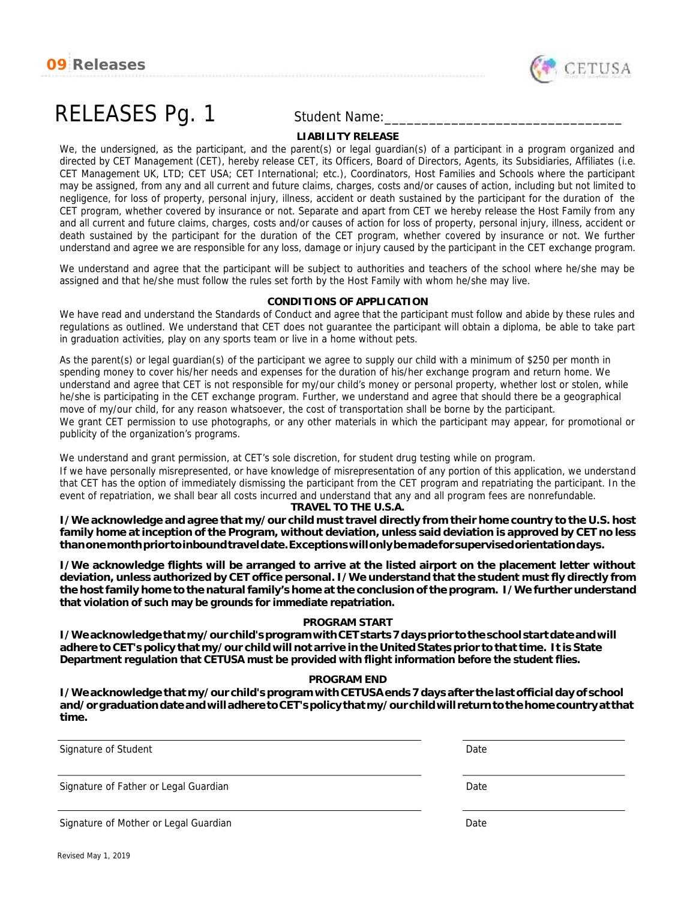



# RELEASES Pg. 1 Student Name:

#### **LIABILITY RELEASE**

We, the undersigned, as the participant, and the parent(s) or legal guardian(s) of a participant in a program organized and directed by CET Management (CET), hereby release CET, its Officers, Board of Directors, Agents, its Subsidiaries, Affiliates (i.e. CET Management UK, LTD; CET USA; CET International; etc.), Coordinators, Host Families and Schools where the participant may be assigned, from any and all current and future claims, charges, costs and/or causes of action, including but not limited to negligence, for loss of property, personal injury, illness, accident or death sustained by the participant for the duration of the CET program, whether covered by insurance or not. Separate and apart from CET we hereby release the Host Family from any and all current and future claims, charges, costs and/or causes of action for loss of property, personal injury, illness, accident or death sustained by the participant for the duration of the CET program, whether covered by insurance or not. We further understand and agree we are responsible for any loss, damage or injury caused by the participant in the CET exchange program.

We understand and agree that the participant will be subject to authorities and teachers of the school where he/she may be assigned and that he/she must follow the rules set forth by the Host Family with whom he/she may live.

#### **CONDITIONS OF APPLICATION**

We have read and understand the Standards of Conduct and agree that the participant must follow and abide by these rules and regulations as outlined. We understand that CET does not guarantee the participant will obtain a diploma, be able to take part in graduation activities, play on any sports team or live in a home without pets.

As the parent(s) or legal guardian(s) of the participant we agree to supply our child with a minimum of \$250 per month in spending money to cover his/her needs and expenses for the duration of his/her exchange program and return home. We understand and agree that CET is not responsible for my/our child's money or personal property, whether lost or stolen, while he/she is participating in the CET exchange program. Further, we understand and agree that should there be a geographical move of my/our child, for any reason whatsoever, the cost of transportation shall be borne by the participant. We grant CET permission to use photographs, or any other materials in which the participant may appear, for promotional or publicity of the organization's programs.

We understand and grant permission, at CET's sole discretion, for student drug testing while on program. If we have personally misrepresented, or have knowledge of misrepresentation of any portion of this application, we understand that CET has the option of immediately dismissing the participant from the CET program and repatriating the participant. In the event of repatriation, we shall bear all costs incurred and understand that any and all program fees are nonrefundable.

**TRAVEL TO THE U.S.A.**

I/We acknowledge and agree that my/our child must travel directly from their home country to the U.S. host family home at inception of the Program, without deviation, unless said deviation is approved by CET no less *thanonemonthpriortoinboundtraveldate.Exceptionswillonlybemadeforsupervisedorientationdays.*

*I/We acknowledge flights will be arranged to arrive at the listed airport on the placement letter without deviation, unless authorized by CET office personal. I/We understand that the student must fly directly from* the host family home to the natural family's home at the conclusion of the program. I/We further understand *that violation of such may be grounds for immediate repatriation.*

#### **PROGRAM START**

*I/Weacknowledgethatmy/ourchild'sprogramwithCETstarts7daysprior totheschool startdateandwill* adhere to CET's policy that my/our child will not arrive in the United States prior to that time. It is State *Department regulation that CETUSA must be provided with flight information before the student flies.*

#### **PROGRAM END**

*I/We acknowledge thatmy/our child's programwithCETUSAends 7 days after the last official day of school and/orgraduationdateandwilladheretoCET'spolicythatmy/ourchildwill returntothehomecountryat that time.*

Signature of Student Date

Signature of Father or Legal Guardian Date Controller and Date Date Date Date Date

Signature of Mother or Legal Guardian Date Controller and Date Date Date Date Date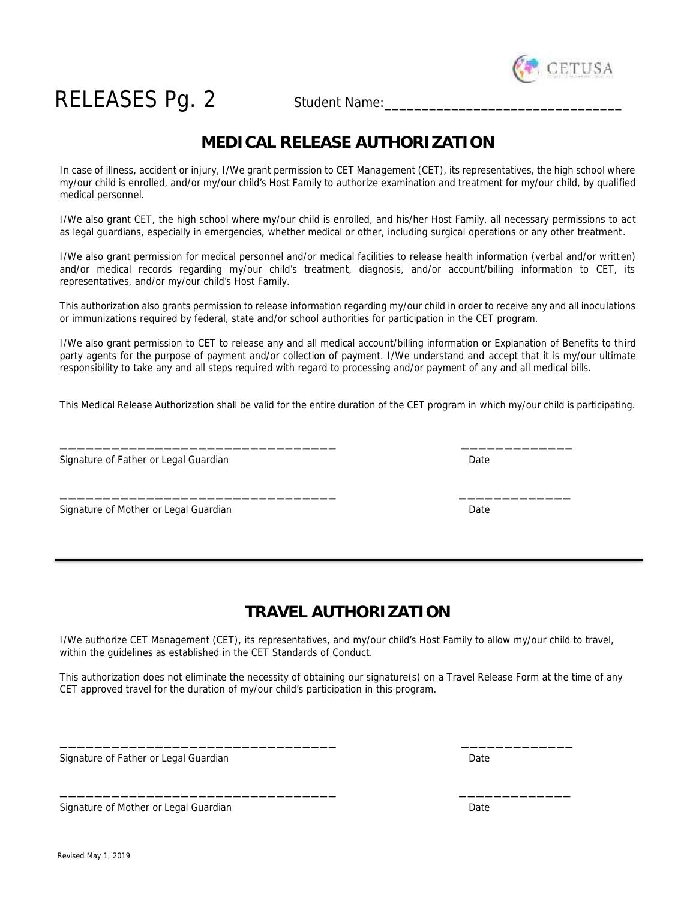

# RELEASES Pg. 2 Student Name:

### **MEDICAL RELEASE AUTHORIZATION**

In case of illness, accident or injury, I/We grant permission to CET Management (CET), its representatives, the high school where my/our child is enrolled, and/or my/our child's Host Family to authorize examination and treatment for my/our child, by qualified medical personnel.

I/We also grant CET, the high school where my/our child is enrolled, and his/her Host Family, all necessary permissions to act as legal guardians, especially in emergencies, whether medical or other, including surgical operations or any other treatment.

I/We also grant permission for medical personnel and/or medical facilities to release health information (verbal and/or written) and/or medical records regarding my/our child's treatment, diagnosis, and/or account/billing information to CET, its representatives, and/or my/our child's Host Family.

This authorization also grants permission to release information regarding my/our child in order to receive any and all inoculations or immunizations required by federal, state and/or school authorities for participation in the CET program.

I/We also grant permission to CET to release any and all medical account/billing information or Explanation of Benefits to third party agents for the purpose of payment and/or collection of payment. I/We understand and accept that it is my/our ultimate responsibility to take any and all steps required with regard to processing and/or payment of any and all medical bills.

This Medical Release Authorization shall be valid for the entire duration of the CET program in which my/our child is participating.

\_\_\_\_\_\_\_\_\_\_\_\_\_\_\_\_\_\_\_\_\_\_\_\_\_\_\_\_\_\_\_\_ \_\_\_\_\_\_\_\_\_\_\_\_\_

\_\_\_\_\_\_\_\_\_\_\_\_\_\_\_\_\_\_\_\_\_\_\_\_\_\_\_\_\_\_\_\_ \_\_\_\_\_\_\_\_\_\_\_\_\_

Signature of Father or Legal Guardian Date Communication Control of Cate Date Date

Signature of Mother or Legal Guardian Date **Date Communist Communist Communist Communist Communist Communist Communist Communist Communist Communist Communist Communist Communist Communist Communist Communist Communist Com** 

### **TRAVEL AUTHORIZATION**

I/We authorize CET Management (CET), its representatives, and my/our child's Host Family to allow my/our child to travel, within the guidelines as established in the CET Standards of Conduct.

This authorization does not eliminate the necessity of obtaining our signature(s) on a Travel Release Form at the time of any CET approved travel for the duration of my/our child's participation in this program.

\_\_\_\_\_\_\_\_\_\_\_\_\_\_\_\_\_\_\_\_\_\_\_\_\_\_\_\_\_\_\_\_ \_\_\_\_\_\_\_\_\_\_\_\_\_

\_\_\_\_\_\_\_\_\_\_\_\_\_\_\_\_\_\_\_\_\_\_\_\_\_\_\_\_\_\_\_\_ \_\_\_\_\_\_\_\_\_\_\_\_\_

Signature of Father or Legal Guardian Date by Contract and Date Date Date Date Date

Signature of Mother or Legal Guardian Date Communication Control of Control of Control of Control of Control o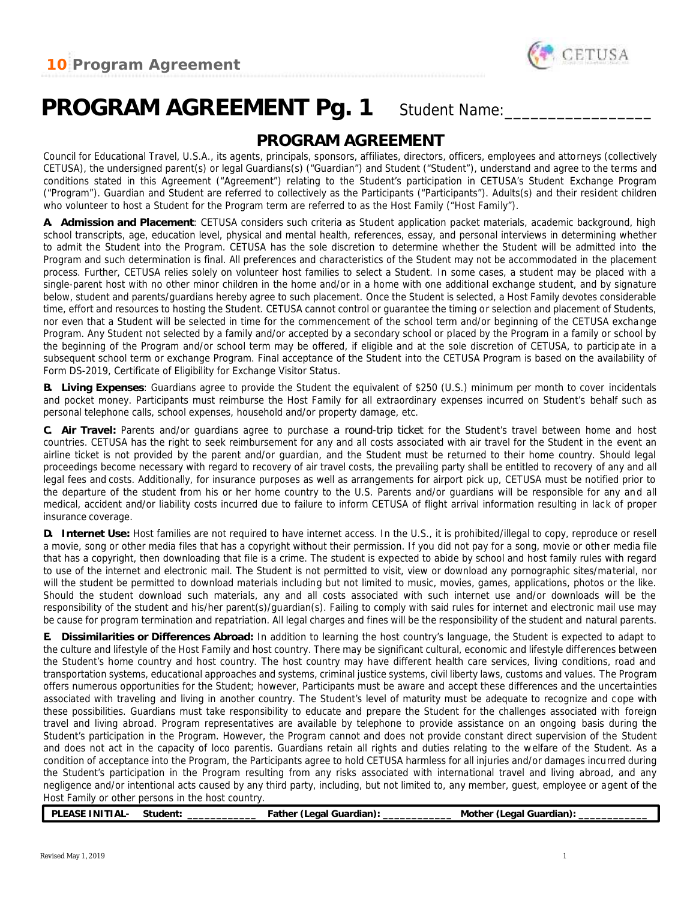

## PROGRAM AGREEMENT Pg. 1 Student Name:

### **PROGRAM AGREEMENT**

Council for Educational Travel, U.S.A., its agents, principals, sponsors, affiliates, directors, officers, employees and attorneys (collectively CETUSA), the undersigned parent(s) or legal Guardians(s) ("Guardian") and Student ("Student"), understand and agree to the terms and conditions stated in this Agreement ("Agreement") relating to the Student's participation in CETUSA's Student Exchange Program ("Program"). Guardian and Student are referred to collectively as the Participants ("Participants"). Adults(s) and their resident children who volunteer to host a Student for the Program term are referred to as the Host Family ("Host Family").

**A. Admission and Placement**: CETUSA considers such criteria as Student application packet materials, academic background, high school transcripts, age, education level, physical and mental health, references, essay, and personal interviews in determining whether to admit the Student into the Program. CETUSA has the sole discretion to determine whether the Student will be admitted into the Program and such determination is final. All preferences and characteristics of the Student may not be accommodated in the placement process. Further, CETUSA relies solely on volunteer host families to select a Student. In some cases, a student may be placed with a single-parent host with no other minor children in the home and/or in a home with one additional exchange student, and by signature below, student and parents/guardians hereby agree to such placement. Once the Student is selected, a Host Family devotes considerable time, effort and resources to hosting the Student. CETUSA cannot control or guarantee the timing or selection and placement of Students, nor even that a Student will be selected in time for the commencement of the school term and/or beginning of the CETUSA exchange Program. Any Student not selected by a family and/or accepted by a secondary school or placed by the Program in a family or school by the beginning of the Program and/or school term may be offered, if eligible and at the sole discretion of CETUSA, to participate in a subsequent school term or exchange Program. Final acceptance of the Student into the CETUSA Program is based on the availability of Form DS-2019, Certificate of Eligibility for Exchange Visitor Status.

**B. Living Expenses**: Guardians agree to provide the Student the equivalent of \$250 (U.S.) minimum per month to cover incidentals and pocket money. Participants must reimburse the Host Family for all extraordinary expenses incurred on Student's behalf such as personal telephone calls, school expenses, household and/or property damage, etc.

**C. Air Travel:** Parents and/or guardians agree to purchase *a round-trip ticket* for the Student's travel between home and host countries. CETUSA has the right to seek reimbursement for any and all costs associated with air travel for the Student in the event an airline ticket is not provided by the parent and/or guardian, and the Student must be returned to their home country. Should legal proceedings become necessary with regard to recovery of air travel costs, the prevailing party shall be entitled to recovery of any and all legal fees and costs. Additionally, for insurance purposes as well as arrangements for airport pick up, CETUSA must be notified prior to the departure of the student from his or her home country to the U.S. Parents and/or guardians will be responsible for any and all medical, accident and/or liability costs incurred due to failure to inform CETUSA of flight arrival information resulting in lack of proper insurance coverage.

**D. Internet Use:** Host families are not required to have internet access. In the U.S., it is prohibited/illegal to copy, reproduce or resell a movie, song or other media files that has a copyright without their permission. If you did not pay for a song, movie or other media file that has a copyright, then downloading that file is a crime. The student is expected to abide by school and host family rules with regard to use of the internet and electronic mail. The Student is not permitted to visit, view or download any pornographic sites/material, nor will the student be permitted to download materials including but not limited to music, movies, games, applications, photos or the like. Should the student download such materials, any and all costs associated with such internet use and/or downloads will be the responsibility of the student and his/her parent(s)/guardian(s). Failing to comply with said rules for internet and electronic mail use may be cause for program termination and repatriation. All legal charges and fines will be the responsibility of the student and natural parents.

**E. Dissimilarities or Differences Abroad:** In addition to learning the host country's language, the Student is expected to adapt to the culture and lifestyle of the Host Family and host country. There may be significant cultural, economic and lifestyle differences between the Student's home country and host country. The host country may have different health care services, living conditions, road and transportation systems, educational approaches and systems, criminal justice systems, civil liberty laws, customs and values. The Program offers numerous opportunities for the Student; however, Participants must be aware and accept these differences and the uncertainties associated with traveling and living in another country. The Student's level of maturity must be adequate to recognize and cope with these possibilities. Guardians must take responsibility to educate and prepare the Student for the challenges associated with foreign travel and living abroad. Program representatives are available by telephone to provide assistance on an ongoing basis during the Student's participation in the Program. However, the Program cannot and does not provide constant direct supervision of the Student and does not act in the capacity of loco parentis. Guardians retain all rights and duties relating to the welfare of the Student. As a condition of acceptance into the Program, the Participants agree to hold CETUSA harmless for all injuries and/or damages incurred during the Student's participation in the Program resulting from any risks associated with international travel and living abroad, and any negligence and/or intentional acts caused by any third party, including, but not limited to, any member, guest, employee or agent of the Host Family or other persons in the host country.

**PLEASE INITIAL- Student: \_\_\_\_\_\_\_\_\_\_\_\_ Father (Legal Guardian): \_\_\_\_\_\_\_\_\_\_\_\_ Mother (Legal Guardian): \_\_\_\_\_\_\_\_\_\_\_\_**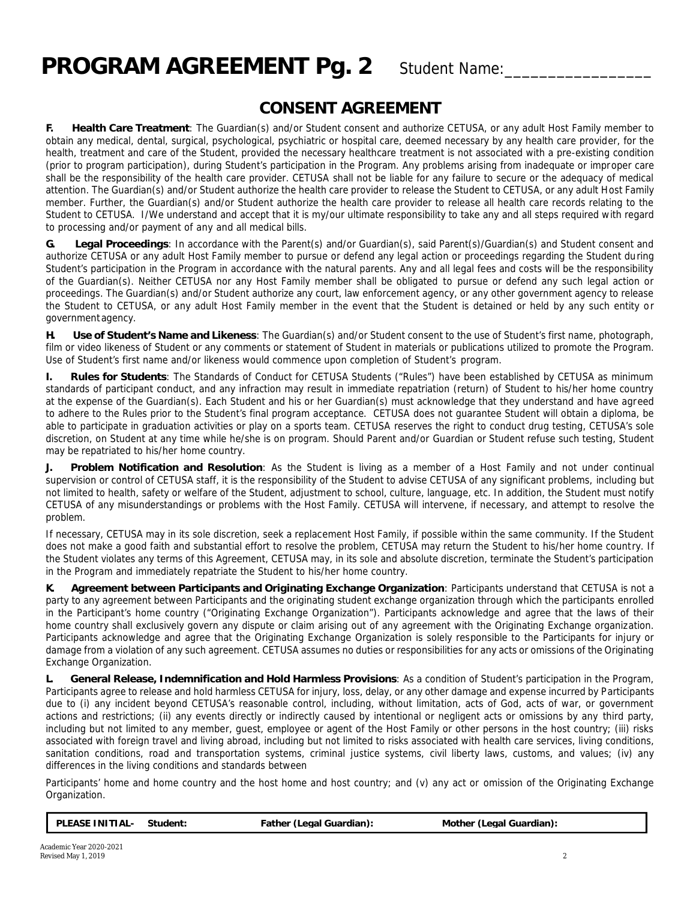# PROGRAM AGREEMENT Pg. 2 Student Name:

### **CONSENT AGREEMENT**

**F. Health Care Treatment**: The Guardian(s) and/or Student consent and authorize CETUSA, or any adult Host Family member to obtain any medical, dental, surgical, psychological, psychiatric or hospital care, deemed necessary by any health care provider, for the health, treatment and care of the Student, provided the necessary healthcare treatment is not associated with a pre-existing condition (prior to program participation), during Student's participation in the Program. Any problems arising from inadequate or improper care shall be the responsibility of the health care provider. CETUSA shall not be liable for any failure to secure or the adequacy of medical attention. The Guardian(s) and/or Student authorize the health care provider to release the Student to CETUSA, or any adult Host Family member. Further, the Guardian(s) and/or Student authorize the health care provider to release all health care records relating to the Student to CETUSA. I/We understand and accept that it is my/our ultimate responsibility to take any and all steps required with regard to processing and/or payment of any and all medical bills.

**G. Legal Proceedings**: In accordance with the Parent(s) and/or Guardian(s), said Parent(s)/Guardian(s) and Student consent and authorize CETUSA or any adult Host Family member to pursue or defend any legal action or proceedings regarding the Student during Student's participation in the Program in accordance with the natural parents. Any and all legal fees and costs will be the responsibility of the Guardian(s). Neither CETUSA nor any Host Family member shall be obligated to pursue or defend any such legal action or proceedings. The Guardian(s) and/or Student authorize any court, law enforcement agency, or any other government agency to release the Student to CETUSA, or any adult Host Family member in the event that the Student is detained or held by any such entity or governmentagency.

**H. Use of Student's Name and Likeness**: The Guardian(s) and/or Student consent to the use of Student's first name, photograph, film or video likeness of Student or any comments or statement of Student in materials or publications utilized to promote the Program. Use of Student's first name and/or likeness would commence upon completion of Student's program.

**I. Rules for Students**: The Standards of Conduct for CETUSA Students ("Rules") have been established by CETUSA as minimum standards of participant conduct, and any infraction may result in immediate repatriation (return) of Student to his/her home country at the expense of the Guardian(s). Each Student and his or her Guardian(s) must acknowledge that they understand and have agreed to adhere to the Rules prior to the Student's final program acceptance. CETUSA does not guarantee Student will obtain a diploma, be able to participate in graduation activities or play on a sports team. CETUSA reserves the right to conduct drug testing, CETUSA's sole discretion, on Student at any time while he/she is on program. Should Parent and/or Guardian or Student refuse such testing, Student may be repatriated to his/her home country.

**J. Problem Notification and Resolution**: As the Student is living as a member of a Host Family and not under continual supervision or control of CETUSA staff, it is the responsibility of the Student to advise CETUSA of any significant problems, including but not limited to health, safety or welfare of the Student, adjustment to school, culture, language, etc. In addition, the Student must notify CETUSA of any misunderstandings or problems with the Host Family. CETUSA will intervene, if necessary, and attempt to resolve the problem.

If necessary, CETUSA may in its sole discretion, seek a replacement Host Family, if possible within the same community. If the Student does not make a good faith and substantial effort to resolve the problem, CETUSA may return the Student to his/her home country. If the Student violates any terms of this Agreement, CETUSA may, in its sole and absolute discretion, terminate the Student's participation in the Program and immediately repatriate the Student to his/her home country.

**K. Agreement between Participants and Originating Exchange Organization**: Participants understand that CETUSA is not a party to any agreement between Participants and the originating student exchange organization through which the participants enrolled in the Participant's home country ("Originating Exchange Organization"). Participants acknowledge and agree that the laws of their home country shall exclusively govern any dispute or claim arising out of any agreement with the Originating Exchange organization. Participants acknowledge and agree that the Originating Exchange Organization is solely responsible to the Participants for injury or damage from a violation of any such agreement. CETUSA assumes no duties or responsibilities for any acts or omissions of the Originating Exchange Organization.

**L. General Release, Indemnification and Hold Harmless Provisions**: As a condition of Student's participation in the Program, Participants agree to release and hold harmless CETUSA for injury, loss, delay, or any other damage and expense incurred by Participants due to (i) any incident beyond CETUSA's reasonable control, including, without limitation, acts of God, acts of war, or government actions and restrictions; (ii) any events directly or indirectly caused by intentional or negligent acts or omissions by any third party, including but not limited to any member, guest, employee or agent of the Host Family or other persons in the host country; (iii) risks associated with foreign travel and living abroad, including but not limited to risks associated with health care services, living conditions, sanitation conditions, road and transportation systems, criminal justice systems, civil liberty laws, customs, and values; (iv) any differences in the living conditions and standards between

Participants' home and home country and the host home and host country; and (v) any act or omission of the Originating Exchange Organization.

| <b>EASE</b><br>וה<br>IN'<br>1 A L | student | eaal<br>(Guardian)<br>∙athei | Guardian:<br>∟eaal<br>Mother |
|-----------------------------------|---------|------------------------------|------------------------------|
|                                   |         |                              |                              |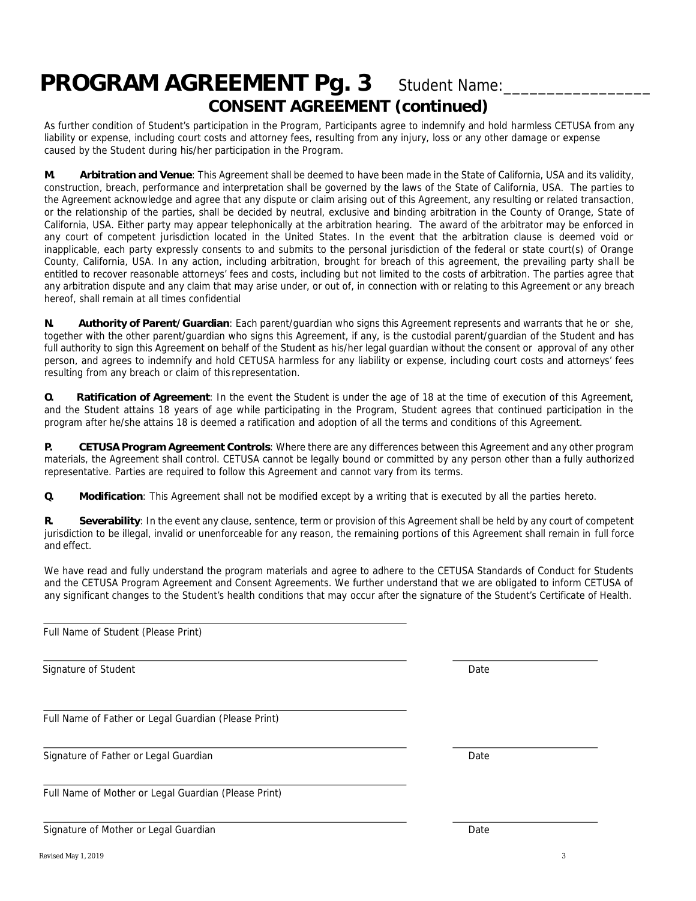## PROGRAM AGREEMENT Pg. 3 Student Name: **CONSENT AGREEMENT (continued)**

As further condition of Student's participation in the Program, Participants agree to indemnify and hold harmless CETUSA from any liability or expense, including court costs and attorney fees, resulting from any injury, loss or any other damage or expense caused by the Student during his/her participation in the Program.

**M. Arbitration and Venue**: This Agreement shall be deemed to have been made in the State of California, USA and its validity, construction, breach, performance and interpretation shall be governed by the laws of the State of California, USA. The parties to the Agreement acknowledge and agree that any dispute or claim arising out of this Agreement, any resulting or related transaction, or the relationship of the parties, shall be decided by neutral, exclusive and binding arbitration in the County of Orange, State of California, USA. Either party may appear telephonically at the arbitration hearing. The award of the arbitrator may be enforced in any court of competent jurisdiction located in the United States. In the event that the arbitration clause is deemed void or inapplicable, each party expressly consents to and submits to the personal jurisdiction of the federal or state court(s) of Orange County, California, USA. In any action, including arbitration, brought for breach of this agreement, the prevailing party shall be entitled to recover reasonable attorneys' fees and costs, including but not limited to the costs of arbitration. The parties agree that any arbitration dispute and any claim that may arise under, or out of, in connection with or relating to this Agreement or any breach hereof, shall remain at all times confidential

**N. Authority of Parent/Guardian**: Each parent/guardian who signs this Agreement represents and warrants that he or she, together with the other parent/guardian who signs this Agreement, if any, is the custodial parent/guardian of the Student and has full authority to sign this Agreement on behalf of the Student as his/her legal guardian without the consent or approval of any other person, and agrees to indemnify and hold CETUSA harmless for any liability or expense, including court costs and attorneys' fees resulting from any breach or claim of this representation.

**O. Ratification of Agreement**: In the event the Student is under the age of 18 at the time of execution of this Agreement, and the Student attains 18 years of age while participating in the Program, Student agrees that continued participation in the program after he/she attains 18 is deemed a ratification and adoption of allthe terms and conditions of this Agreement.

**P. CETUSA Program Agreement Controls**: Where there are any differences between this Agreement and any other program materials, the Agreement shall control. CETUSA cannot be legally bound or committed by any person other than a fully authorized representative. Parties are required to follow this Agreement and cannot vary from its terms.

**Q. Modification**: This Agreement shall not be modified except by a writing that is executed by all the parties hereto.

**R. Severability**: In the event any clause, sentence, term or provision of this Agreement shall be held by any court of competent jurisdiction to be illegal, invalid or unenforceable for any reason, the remaining portions of this Agreement shall remain in full force and effect.

We have read and fully understand the program materials and agree to adhere to the CETUSA Standards of Conduct for Students and the CETUSA Program Agreement and Consent Agreements. We further understand that we are obligated to inform CETUSA of any significant changes to the Student's health conditions that may occur after the signature of the Student's Certificate of Health.

Full Name of Father or Legal Guardian (Please Print) Signature of Father or Legal Guardian Date of Table 1, 2008, 2014

Full Name of Mother or Legal Guardian (Please Print)

Signature of Mother or Legal Guardian Date Controller and Date Date Date

Full Name of Student (Please Print)

Signature of Student Date Control of Student Date Control of Student Date Control of Student Date Control of Student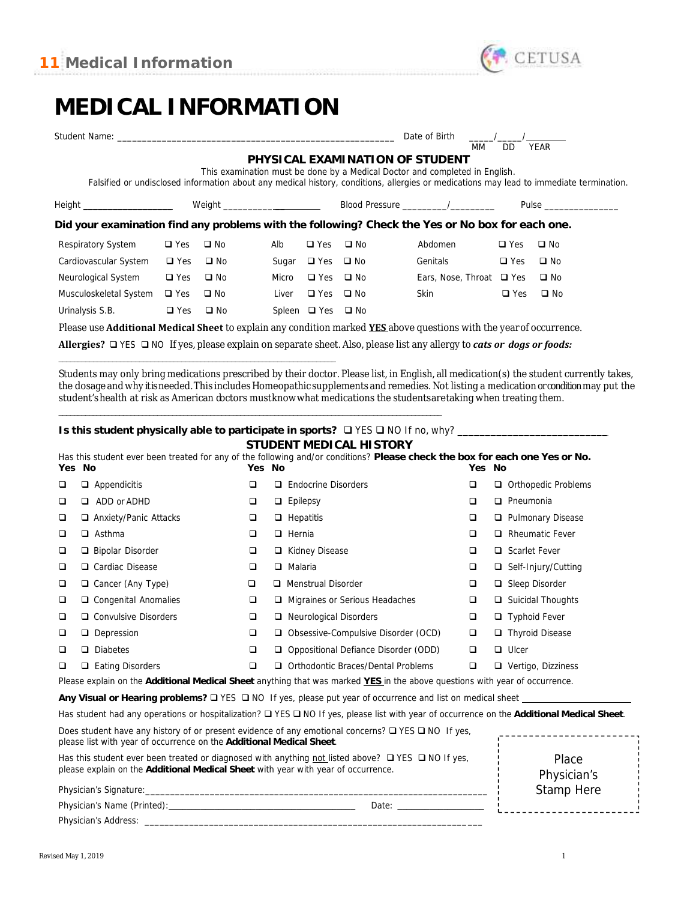

## **MEDICAL INFORMATION**

| Student Name: will be a state of the control of the control of the control of the control of the control of the control of the control of the control of the control of the control of the control of the control of the contr |               |                          |       |                             |                                 | Date of Birth                                                               |            |                                                                                                                                                                                                                                      |
|--------------------------------------------------------------------------------------------------------------------------------------------------------------------------------------------------------------------------------|---------------|--------------------------|-------|-----------------------------|---------------------------------|-----------------------------------------------------------------------------|------------|--------------------------------------------------------------------------------------------------------------------------------------------------------------------------------------------------------------------------------------|
|                                                                                                                                                                                                                                |               |                          |       |                             |                                 | MM                                                                          | DD.        | <b>YEAR</b>                                                                                                                                                                                                                          |
|                                                                                                                                                                                                                                |               |                          |       |                             | PHYSICAL EXAMINATION OF STUDENT |                                                                             |            |                                                                                                                                                                                                                                      |
|                                                                                                                                                                                                                                |               |                          |       |                             |                                 | This examination must be done by a Medical Doctor and completed in English. |            |                                                                                                                                                                                                                                      |
|                                                                                                                                                                                                                                |               |                          |       |                             |                                 |                                                                             |            | Falsified or undisclosed information about any medical history, conditions, allergies or medications may lead to immediate termination.                                                                                              |
| Height ______________________                                                                                                                                                                                                  |               | Weight _________________ |       |                             |                                 |                                                                             |            | Pulse <b>District Contract Contract Contract Contract Contract Contract Contract Contract Contract Contract Contract Contract Contract Contract Contract Contract Contract Contract Contract Contract Contract Contract Contract</b> |
| Did your examination find any problems with the following? Check the Yes or No box for each one.                                                                                                                               |               |                          |       |                             |                                 |                                                                             |            |                                                                                                                                                                                                                                      |
| Respiratory System                                                                                                                                                                                                             | $\Box$ Yes    | $\square$ No             | Alb   | $\Box$ Yes                  | $\Box$ No                       | Abdomen                                                                     | $\Box$ Yes | $\square$ No                                                                                                                                                                                                                         |
| Cardiovascular System                                                                                                                                                                                                          | $\Box$ Yes    | $\square$ No             | Sugar | $\Box$ Yes $\Box$ No        |                                 | Genitals                                                                    | $\Box$ Yes | $\square$ No                                                                                                                                                                                                                         |
| Neurological System                                                                                                                                                                                                            | $\square$ Yes | $\square$ No             | Micro | $\Box$ Yes $\Box$ No        |                                 | Ears, Nose, Throat $\Box$ Yes                                               |            | $\square$ No                                                                                                                                                                                                                         |
| Musculoskeletal System                                                                                                                                                                                                         | $\Box$ Yes    | $\square$ No             | Liver | $\Box$ Yes $\Box$ No        |                                 | Skin                                                                        | $\Box$ Yes | $\square$ No                                                                                                                                                                                                                         |
| Urinalysis S.B.                                                                                                                                                                                                                | $\Box$ Yes    | $\square$ No             |       | Spleen $\Box$ Yes $\Box$ No |                                 |                                                                             |            |                                                                                                                                                                                                                                      |
| Please use <b>Additional Medical Sheet</b> to explain any condition marked <b>YES</b> above questions with the year of occurrence.                                                                                             |               |                          |       |                             |                                 |                                                                             |            |                                                                                                                                                                                                                                      |

**Allergies?** YES NO If yes, please explain on separate sheet. Also, please list any allergy to *cats or dogs or foods:*

Students may only bring medications prescribed by their doctor. Please list, in English, all medication(s) the student currently takes, the dosage and why it isneeded. This includes Homeopathic supplements and remedies. Not listing a medication or condition may put the student'shealth at risk as American doctors mustknowwhat medications the studentsaretaking when treating them.

\_\_\_\_\_\_\_\_\_\_\_\_\_\_\_\_\_\_\_\_\_\_\_\_\_\_\_\_\_\_\_\_\_\_\_\_\_\_\_\_\_\_\_\_\_\_\_\_\_\_\_\_\_\_\_\_\_\_\_\_\_\_\_\_\_\_\_\_\_\_\_\_\_\_\_\_\_\_\_\_\_\_\_\_\_\_\_\_\_\_\_\_\_\_\_\_\_\_\_\_\_ Is this student physically able to participate in sports? □ YES □ NO If no, why? \_\_

\_\_\_\_\_\_\_\_\_\_\_\_\_\_\_\_\_\_\_\_\_\_\_\_\_\_\_\_\_\_\_\_\_\_\_\_\_\_\_\_\_\_\_\_\_\_\_\_\_\_\_\_\_\_\_\_\_\_\_\_\_\_\_\_\_\_\_\_\_\_\_\_

**STUDENT MEDICAL HISTORY**

|                                                                                                                                      |                               |        |    | Has this student ever been treated for any of the following and/or conditions? Please check the box for each one Yes or No. |        |                            |
|--------------------------------------------------------------------------------------------------------------------------------------|-------------------------------|--------|----|-----------------------------------------------------------------------------------------------------------------------------|--------|----------------------------|
| Yes No                                                                                                                               |                               | Yes No |    |                                                                                                                             | Yes No |                            |
| □                                                                                                                                    | Appendicitis<br>o.            | ❏      |    | <b>Endocrine Disorders</b>                                                                                                  | ❏      | □ Orthopedic Problems      |
| □                                                                                                                                    | ADD or ADHD<br>□              | □      |    | Epilepsy                                                                                                                    | ❏      | Pneumonia<br>□             |
| □                                                                                                                                    | $\Box$ Anxiety/Panic Attacks  | ❏      |    | $\Box$ Hepatitis                                                                                                            | ❏      | □ Pulmonary Disease        |
| □                                                                                                                                    | Asthma<br>□                   | □      |    | Hernia                                                                                                                      | ❏      | <b>Rheumatic Fever</b>     |
| $\Box$                                                                                                                               | Bipolar Disorder              | □      |    | □ Kidney Disease                                                                                                            | ❏      | Scarlet Fever              |
| □                                                                                                                                    | □ Cardiac Disease             | □      |    | Malaria                                                                                                                     | ❏      | $\Box$ Self-Injury/Cutting |
| □                                                                                                                                    | $\Box$ Cancer (Any Type)      | □      |    | Menstrual Disorder                                                                                                          | ❏      | $\Box$ Sleep Disorder      |
| □                                                                                                                                    | □ Congenital Anomalies        | □      |    | Migraines or Serious Headaches                                                                                              | ❏      | $\Box$ Suicidal Thoughts   |
| □                                                                                                                                    | □ Convulsive Disorders        | □      |    | Neurological Disorders                                                                                                      | ❏      | <b>Typhoid Fever</b>       |
| □                                                                                                                                    | Depression                    | $\Box$ | □. | Obsessive-Compulsive Disorder (OCD)                                                                                         | ❏      | $\Box$ Thyroid Disease     |
| □                                                                                                                                    | <b>Diabetes</b><br>□          | □      |    | Oppositional Defiance Disorder (ODD)                                                                                        | □      | $\Box$ Ulcer               |
| $\Box$                                                                                                                               | <b>Eating Disorders</b><br>o. | □      | □  | Orthodontic Braces/Dental Problems                                                                                          | □      | Vertigo, Dizziness<br>□    |
| Please explain on the Additional Medical Sheet anything that was marked YES in the above questions with year of occurrence.          |                               |        |    |                                                                                                                             |        |                            |
| Any Visual or Hearing problems? $\square$ YES $\square$ NO If yes, please put year of occurrence and list on medical sheet $\square$ |                               |        |    |                                                                                                                             |        |                            |

Has student had any operations or hospitalization?  $\Box$  YES  $\Box$  NO If yes, please list with year of occurrence on the Additional Medical Sheet.

Does student have any history of or present evidence of any emotional concerns?  $\Box$  YES  $\Box$  NO If yes, ------------------please list with year of occurrence on the **Additional Medical Sheet**.

Has this student ever been treated or diagnosed with anything not listed above?  $\Box$  YES  $\Box$  NO If yes, please explain on the **Additional Medical Sheet** with year with year of occurrence.

Place Physician's Stamp Here

| Physician's Name (Printed) |  |
|----------------------------|--|
| Physician's Address:       |  |

Physician's Signature: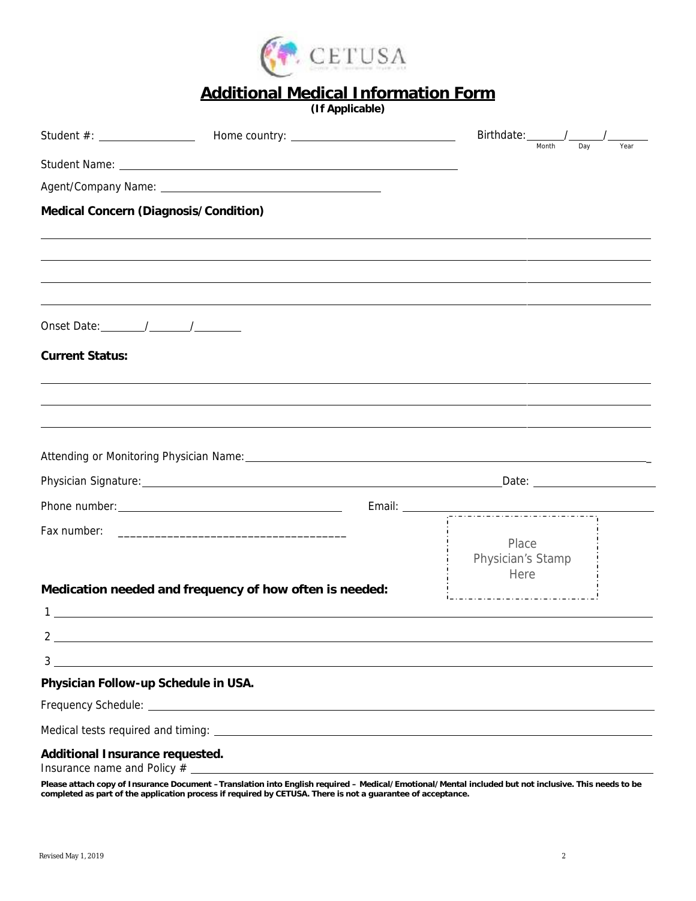

### **Additional Medical Information Form**

*(If Applicable)*

|                                                                                                                                                                                                                                                                                                                     | Birthdate: /      |       |     |      |
|---------------------------------------------------------------------------------------------------------------------------------------------------------------------------------------------------------------------------------------------------------------------------------------------------------------------|-------------------|-------|-----|------|
|                                                                                                                                                                                                                                                                                                                     |                   | Month | Dav | Year |
| Agent/Company Name: \\company Name: \\company Name: \\company Name: \\company Name: \\company Name: \\company Name: \\company Name \times \\company Name: \\company Name: \\company Name: \\company Name: \\company Name: \\co                                                                                      |                   |       |     |      |
| Medical Concern (Diagnosis/Condition)                                                                                                                                                                                                                                                                               |                   |       |     |      |
|                                                                                                                                                                                                                                                                                                                     |                   |       |     |      |
|                                                                                                                                                                                                                                                                                                                     |                   |       |     |      |
|                                                                                                                                                                                                                                                                                                                     |                   |       |     |      |
|                                                                                                                                                                                                                                                                                                                     |                   |       |     |      |
|                                                                                                                                                                                                                                                                                                                     |                   |       |     |      |
| <b>Current Status:</b>                                                                                                                                                                                                                                                                                              |                   |       |     |      |
|                                                                                                                                                                                                                                                                                                                     |                   |       |     |      |
|                                                                                                                                                                                                                                                                                                                     |                   |       |     |      |
|                                                                                                                                                                                                                                                                                                                     |                   |       |     |      |
|                                                                                                                                                                                                                                                                                                                     |                   |       |     |      |
|                                                                                                                                                                                                                                                                                                                     |                   |       |     |      |
|                                                                                                                                                                                                                                                                                                                     |                   |       |     |      |
|                                                                                                                                                                                                                                                                                                                     |                   |       |     |      |
|                                                                                                                                                                                                                                                                                                                     | Place             |       |     |      |
|                                                                                                                                                                                                                                                                                                                     | Physician's Stamp |       |     |      |
| Medication needed and frequency of how often is needed:                                                                                                                                                                                                                                                             | Here              |       |     |      |
| <u> 1980 - Jan Samuel Barbara, martin a shekara tsara 1980 - An tsara 1980 - An tsara 1980 - An tsara 1980 - An t</u>                                                                                                                                                                                               |                   |       |     |      |
| 2 $\overline{\phantom{a}1}$                                                                                                                                                                                                                                                                                         |                   |       |     |      |
| $\frac{1}{2}$ $\frac{1}{2}$ $\frac{1}{2}$ $\frac{1}{2}$ $\frac{1}{2}$ $\frac{1}{2}$ $\frac{1}{2}$ $\frac{1}{2}$ $\frac{1}{2}$ $\frac{1}{2}$ $\frac{1}{2}$ $\frac{1}{2}$ $\frac{1}{2}$ $\frac{1}{2}$ $\frac{1}{2}$ $\frac{1}{2}$ $\frac{1}{2}$ $\frac{1}{2}$ $\frac{1}{2}$ $\frac{1}{2}$ $\frac{1}{2}$ $\frac{1}{2}$ |                   |       |     |      |
| Physician Follow-up Schedule in USA.                                                                                                                                                                                                                                                                                |                   |       |     |      |
|                                                                                                                                                                                                                                                                                                                     |                   |       |     |      |
|                                                                                                                                                                                                                                                                                                                     |                   |       |     |      |
| Additional Insurance requested.                                                                                                                                                                                                                                                                                     |                   |       |     |      |

**Please attach copy of Insurance Document –Translation into English required – Medical/Emotional/Mental included but not inclusive. This needs to be completed as part of the application process if required by CETUSA. There is not a guarantee of acceptance.**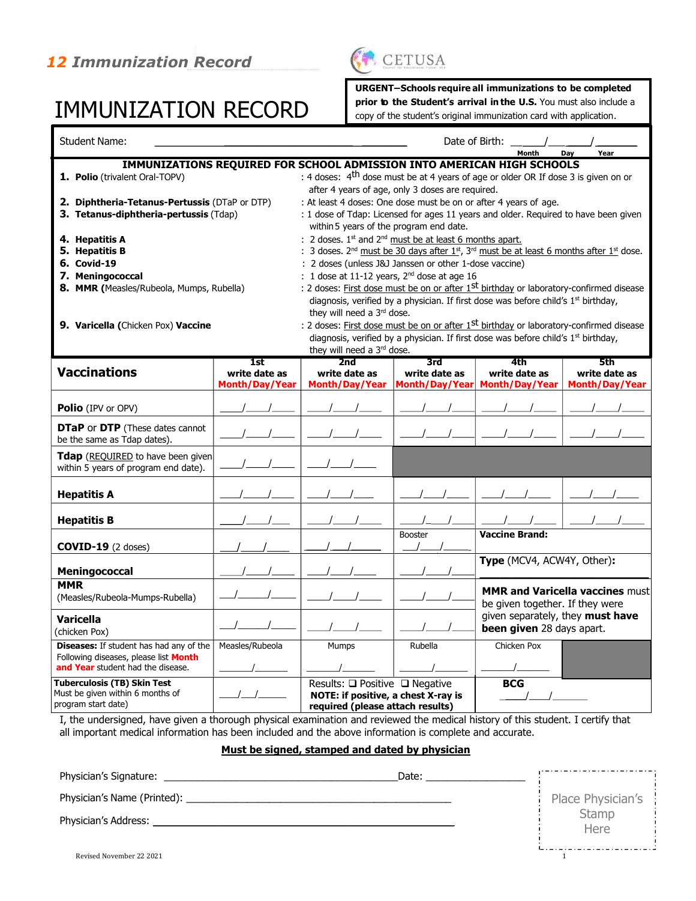## IMMUNIZATION RECORD



URGENT – Schools require all immunizations to be completed

prior to the Student's arrival in the U.S. You must also include a

copy of the student's original immunization card with application.

| <b>Student Name:</b>                                                                                                         |                       |                                                                                                           | Date of Birth:                                   |                                                                                                            |                                        |  |
|------------------------------------------------------------------------------------------------------------------------------|-----------------------|-----------------------------------------------------------------------------------------------------------|--------------------------------------------------|------------------------------------------------------------------------------------------------------------|----------------------------------------|--|
|                                                                                                                              |                       |                                                                                                           |                                                  | Month                                                                                                      | Day<br>Year                            |  |
| IMMUNIZATIONS REQUIRED FOR SCHOOL ADMISSION INTO AMERICAN HIGH SCHOOLS<br>1. Polio (trivalent Oral-TOPV)                     |                       | : 4 doses: 4 <sup>th</sup> dose must be at 4 years of age or older OR If dose 3 is given on or            | after 4 years of age, only 3 doses are required. |                                                                                                            |                                        |  |
| 2. Diphtheria-Tetanus-Pertussis (DTaP or DTP)                                                                                |                       | : At least 4 doses: One dose must be on or after 4 years of age.                                          |                                                  |                                                                                                            |                                        |  |
| 3. Tetanus-diphtheria-pertussis (Tdap)                                                                                       |                       |                                                                                                           |                                                  |                                                                                                            |                                        |  |
|                                                                                                                              |                       | : 1 dose of Tdap: Licensed for ages 11 years and older. Required to have been given                       |                                                  |                                                                                                            |                                        |  |
|                                                                                                                              |                       | within 5 years of the program end date.                                                                   |                                                  |                                                                                                            |                                        |  |
| 4. Hepatitis A                                                                                                               |                       | : 2 doses. $1^{st}$ and $2^{nd}$ must be at least 6 months apart.                                         |                                                  |                                                                                                            |                                        |  |
| 5. Hepatitis B                                                                                                               |                       |                                                                                                           |                                                  | 3 doses. $2^{nd}$ must be 30 days after $1^{st}$ , $3^{rd}$ must be at least 6 months after $1^{st}$ dose. |                                        |  |
| <b>6. Covid-19</b>                                                                                                           |                       | : 2 doses (unless J&J Janssen or other 1-dose vaccine)                                                    |                                                  |                                                                                                            |                                        |  |
| 7. Meningococcal                                                                                                             |                       | : 1 dose at 11-12 years, 2 <sup>nd</sup> dose at age 16                                                   |                                                  |                                                                                                            |                                        |  |
| 8. MMR (Measles/Rubeola, Mumps, Rubella)                                                                                     |                       | : 2 doses: First dose must be on or after 1 <sup>st</sup> birthday or laboratory-confirmed disease        |                                                  |                                                                                                            |                                        |  |
|                                                                                                                              |                       |                                                                                                           |                                                  | diagnosis, verified by a physician. If first dose was before child's 1 <sup>st</sup> birthday,             |                                        |  |
|                                                                                                                              |                       | they will need a 3rd dose.                                                                                |                                                  |                                                                                                            |                                        |  |
| 9. Varicella (Chicken Pox) Vaccine                                                                                           |                       | : 2 doses: First dose must be on or after 1st birthday or laboratory-confirmed disease                    |                                                  |                                                                                                            |                                        |  |
|                                                                                                                              |                       |                                                                                                           |                                                  | diagnosis, verified by a physician. If first dose was before child's 1 <sup>st</sup> birthday,             |                                        |  |
|                                                                                                                              |                       | they will need a 3rd dose.                                                                                |                                                  |                                                                                                            |                                        |  |
|                                                                                                                              | 1st                   | 2nd                                                                                                       | 3rd                                              | 4th                                                                                                        | 5th                                    |  |
| <b>Vaccinations</b>                                                                                                          | write date as         | write date as                                                                                             | write date as                                    | write date as                                                                                              | write date as                          |  |
|                                                                                                                              | <b>Month/Day/Year</b> | <b>Month/Day/Year</b>                                                                                     | Month/Day/Year                                   | <b>Month/Day/Year</b>                                                                                      | <b>Month/Day/Year</b>                  |  |
| Polio (IPV or OPV)                                                                                                           |                       |                                                                                                           |                                                  |                                                                                                            |                                        |  |
| <b>DTaP or DTP</b> (These dates cannot<br>be the same as Tdap dates).                                                        |                       |                                                                                                           |                                                  |                                                                                                            |                                        |  |
| <b>Tdap</b> (REQUIRED to have been given)<br>within 5 years of program end date).                                            |                       |                                                                                                           |                                                  |                                                                                                            |                                        |  |
| <b>Hepatitis A</b>                                                                                                           |                       |                                                                                                           |                                                  |                                                                                                            |                                        |  |
| <b>Hepatitis B</b>                                                                                                           |                       |                                                                                                           |                                                  |                                                                                                            |                                        |  |
| $COVID-19$ (2 doses)                                                                                                         |                       |                                                                                                           | Booster                                          | <b>Vaccine Brand:</b>                                                                                      |                                        |  |
| Meningococcal                                                                                                                |                       |                                                                                                           |                                                  | Type (MCV4, ACW4Y, Other):                                                                                 |                                        |  |
| <b>MMR</b><br>(Measles/Rubeola-Mumps-Rubella)                                                                                |                       |                                                                                                           |                                                  | be given together. If they were                                                                            | <b>MMR and Varicella vaccines must</b> |  |
| <b>Varicella</b><br>(chicken Pox)                                                                                            |                       |                                                                                                           |                                                  | given separately, they must have<br>been given 28 days apart.                                              |                                        |  |
| <b>Diseases:</b> If student has had any of the<br>Following diseases, please list Month<br>and Year student had the disease. | Measles/Rubeola       | Mumps                                                                                                     | Rubella                                          | Chicken Pox                                                                                                |                                        |  |
| <b>Tuberculosis (TB) Skin Test</b><br>Must be given within 6 months of<br>program start date)                                |                       | Results: □ Positive □ Negative<br>NOTE: if positive, a chest X-ray is<br>required (please attach results) |                                                  | <b>BCG</b>                                                                                                 |                                        |  |

I, the undersigned, have given a thorough physical examination and reviewed the medical history of this student. I certify that all important medical information has been included and the above information is complete and accurate.

### Must be signed, stamped and dated by physician

| Physician's Signature:   | Date: |                   |
|--------------------------|-------|-------------------|
|                          |       | Place Physician's |
| Physician's Address:     |       | Stamp<br>Here     |
|                          |       |                   |
| Revised November 22 2021 |       |                   |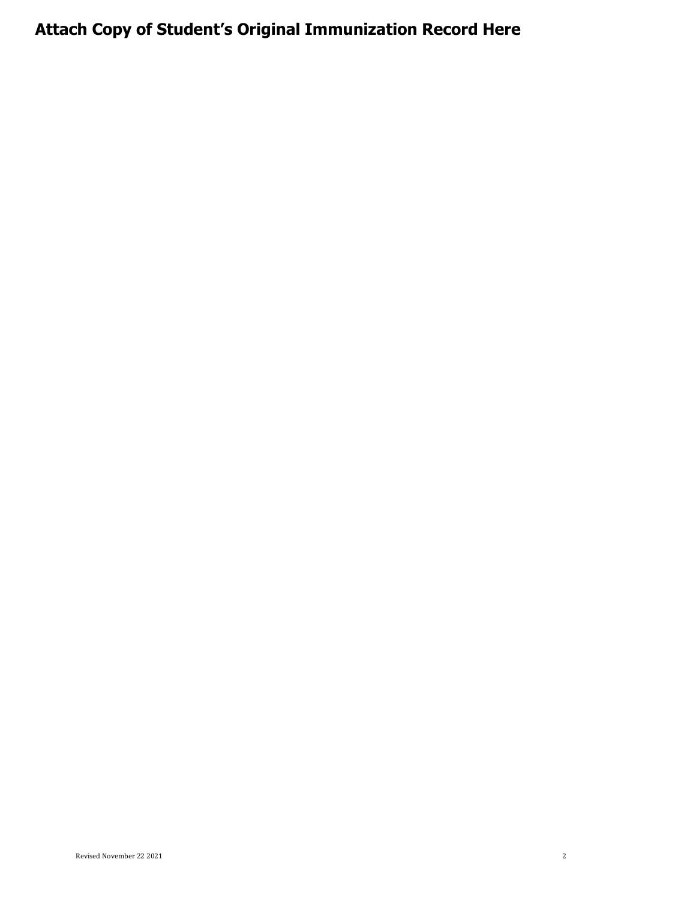### Attach Copy of Student's Original Immunization Record Here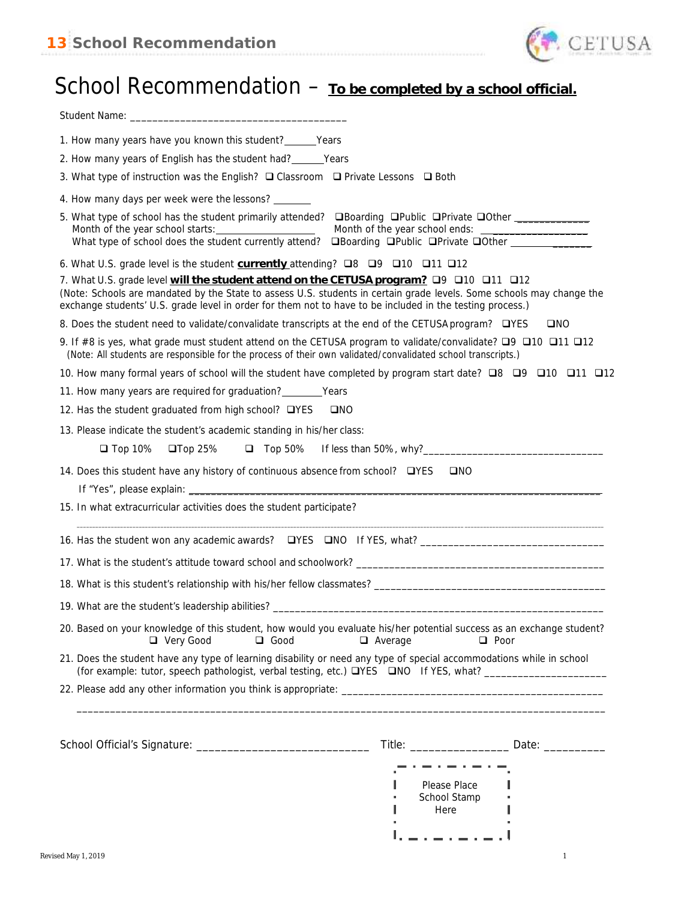

## School Recommendation – **To be completed by a school official.**

| 1. How many years have you known this student? _______ Years                                                                                                                                                                                                                                                                     |                                                                                                                       |
|----------------------------------------------------------------------------------------------------------------------------------------------------------------------------------------------------------------------------------------------------------------------------------------------------------------------------------|-----------------------------------------------------------------------------------------------------------------------|
| 2. How many years of English has the student had? _______ Years                                                                                                                                                                                                                                                                  |                                                                                                                       |
| 3. What type of instruction was the English? $\Box$ Classroom $\Box$ Private Lessons $\Box$ Both                                                                                                                                                                                                                                 |                                                                                                                       |
| 4. How many days per week were the lessons? _______                                                                                                                                                                                                                                                                              |                                                                                                                       |
| 5. What type of school has the student primarily attended? <b>QBoarding QPublic OPrivate QOther</b> ___________<br>What type of school does the student currently attend? <b>OBoarding OPublic OPrivate OOther</b>                                                                                                               |                                                                                                                       |
| 6. What U.S. grade level is the student currently attending? $\Box 8$ $\Box 9$ $\Box 10$ $\Box 11$ $\Box 12$                                                                                                                                                                                                                     |                                                                                                                       |
| 7. What U.S. grade level will the student attend on the CETUSA program? □ 9 □ 10 □ 11 □ 12<br>(Note: Schools are mandated by the State to assess U.S. students in certain grade levels. Some schools may change the<br>exchange students' U.S. grade level in order for them not to have to be included in the testing process.) |                                                                                                                       |
| 8. Does the student need to validate/convalidate transcripts at the end of the CETUSA program? □YES                                                                                                                                                                                                                              | <b>OND</b>                                                                                                            |
| 9. If #8 is yes, what grade must student attend on the CETUSA program to validate/convalidate? $\Box$ 9 $\Box$ 10 $\Box$ 11 $\Box$ 12<br>(Note: All students are responsible for the process of their own validated/convalidated school transcripts.)                                                                            |                                                                                                                       |
| 12 11 12 12 15 DP 10 12 12 12 15 Iom was nary formal years of school will the student have completed by program start date? ■ 9 12 12 12                                                                                                                                                                                         |                                                                                                                       |
| 11. How many years are required for graduation? ________ Years                                                                                                                                                                                                                                                                   |                                                                                                                       |
| 12. Has the student graduated from high school? □YES<br>$\square$ NO                                                                                                                                                                                                                                                             |                                                                                                                       |
| 13. Please indicate the student's academic standing in his/her class:                                                                                                                                                                                                                                                            |                                                                                                                       |
| $\Box$ Top 10%<br>$\square$ Top 25%                                                                                                                                                                                                                                                                                              |                                                                                                                       |
| 15. In what extracurricular activities does the student participate?                                                                                                                                                                                                                                                             | <u> 1989 - Johann John Stone, markin sanadi ya kutoka mwaka wa 1989 - Amerika mwaka wa 1989 - Amerika mwaka wa 19</u> |
|                                                                                                                                                                                                                                                                                                                                  |                                                                                                                       |
|                                                                                                                                                                                                                                                                                                                                  |                                                                                                                       |
|                                                                                                                                                                                                                                                                                                                                  |                                                                                                                       |
| 19. What are the student's leadership abilities? ________________________________                                                                                                                                                                                                                                                |                                                                                                                       |
| 20. Based on your knowledge of this student, how would you evaluate his/her potential success as an exchange student?<br>□ Very Good<br>$\Box$ Good                                                                                                                                                                              | $\Box$ Average<br>$\Box$ Poor                                                                                         |
| 21. Does the student have any type of learning disability or need any type of special accommodations while in school                                                                                                                                                                                                             |                                                                                                                       |
|                                                                                                                                                                                                                                                                                                                                  |                                                                                                                       |
|                                                                                                                                                                                                                                                                                                                                  |                                                                                                                       |
|                                                                                                                                                                                                                                                                                                                                  |                                                                                                                       |
|                                                                                                                                                                                                                                                                                                                                  | Title: Date: Date:                                                                                                    |
|                                                                                                                                                                                                                                                                                                                                  |                                                                                                                       |
|                                                                                                                                                                                                                                                                                                                                  | Please Place                                                                                                          |
|                                                                                                                                                                                                                                                                                                                                  | School Stamp<br>Here                                                                                                  |
|                                                                                                                                                                                                                                                                                                                                  |                                                                                                                       |
|                                                                                                                                                                                                                                                                                                                                  |                                                                                                                       |
| Revised May 1, 2019                                                                                                                                                                                                                                                                                                              | $\mathbf{1}$                                                                                                          |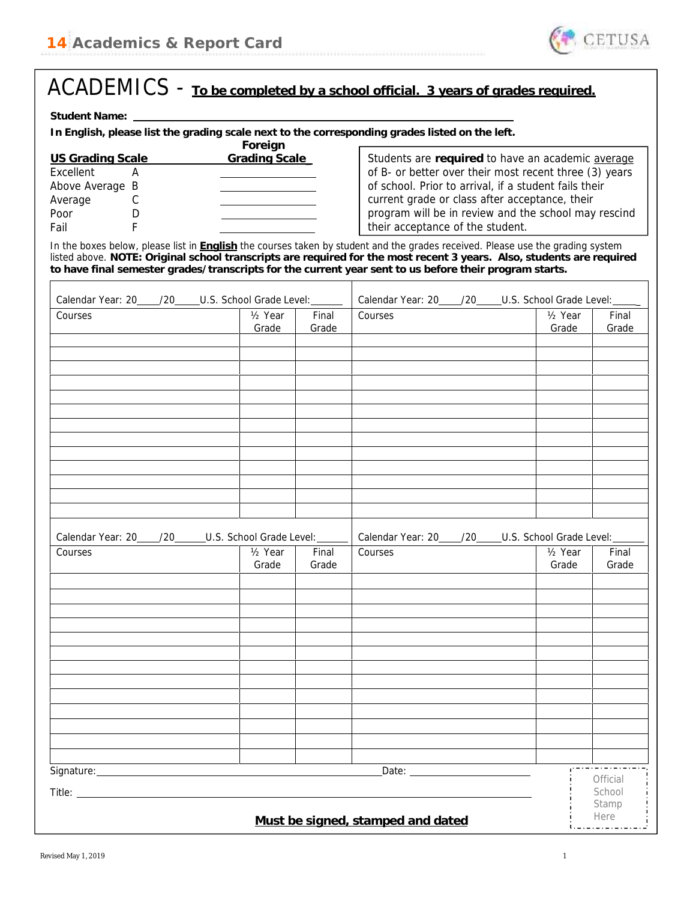

| Student Name:                                                                                                                                                                                                                                                                                                                                                     |                                                |                                                       |                                                                                                                                            |                                                |                |
|-------------------------------------------------------------------------------------------------------------------------------------------------------------------------------------------------------------------------------------------------------------------------------------------------------------------------------------------------------------------|------------------------------------------------|-------------------------------------------------------|--------------------------------------------------------------------------------------------------------------------------------------------|------------------------------------------------|----------------|
| In English, please list the grading scale next to the corresponding grades listed on the left.                                                                                                                                                                                                                                                                    |                                                |                                                       |                                                                                                                                            |                                                |                |
| <b>US Grading Scale</b><br>Excellent<br>A                                                                                                                                                                                                                                                                                                                         | Foreign<br>Grading Scale_                      |                                                       | Students are required to have an academic average<br>of B- or better over their most recent three (3) years                                |                                                |                |
| Above Average B                                                                                                                                                                                                                                                                                                                                                   |                                                |                                                       | of school. Prior to arrival, if a student fails their                                                                                      |                                                |                |
| Average<br>С                                                                                                                                                                                                                                                                                                                                                      |                                                |                                                       | current grade or class after acceptance, their<br>program will be in review and the school may rescind<br>their acceptance of the student. |                                                |                |
| Poor<br>D<br>F<br>Fail                                                                                                                                                                                                                                                                                                                                            |                                                |                                                       |                                                                                                                                            |                                                |                |
|                                                                                                                                                                                                                                                                                                                                                                   |                                                |                                                       |                                                                                                                                            |                                                |                |
| In the boxes below, please list in English the courses taken by student and the grades received. Please use the grading system<br>listed above. NOTE: Original school transcripts are required for the most recent 3 years. Also, students are required<br>to have final semester grades/transcripts for the current year sent to us before their program starts. |                                                |                                                       |                                                                                                                                            |                                                |                |
| Calendar Year: 20____/20_____U.S. School Grade Level: ______                                                                                                                                                                                                                                                                                                      |                                                | Calendar Year: 20____/20_____U.S. School Grade Level: |                                                                                                                                            |                                                |                |
| Courses                                                                                                                                                                                                                                                                                                                                                           | $\frac{1}{2}$ Year<br>Grade                    | Final                                                 | Courses                                                                                                                                    | $\frac{1}{2}$ Year<br>Grade                    | Final<br>Grade |
|                                                                                                                                                                                                                                                                                                                                                                   |                                                | Grade                                                 |                                                                                                                                            |                                                |                |
|                                                                                                                                                                                                                                                                                                                                                                   |                                                |                                                       |                                                                                                                                            |                                                |                |
|                                                                                                                                                                                                                                                                                                                                                                   |                                                |                                                       |                                                                                                                                            |                                                |                |
|                                                                                                                                                                                                                                                                                                                                                                   |                                                |                                                       |                                                                                                                                            |                                                |                |
|                                                                                                                                                                                                                                                                                                                                                                   |                                                |                                                       |                                                                                                                                            |                                                |                |
|                                                                                                                                                                                                                                                                                                                                                                   |                                                |                                                       |                                                                                                                                            |                                                |                |
|                                                                                                                                                                                                                                                                                                                                                                   |                                                |                                                       |                                                                                                                                            |                                                |                |
|                                                                                                                                                                                                                                                                                                                                                                   |                                                |                                                       |                                                                                                                                            |                                                |                |
|                                                                                                                                                                                                                                                                                                                                                                   |                                                |                                                       |                                                                                                                                            |                                                |                |
|                                                                                                                                                                                                                                                                                                                                                                   |                                                |                                                       |                                                                                                                                            |                                                |                |
|                                                                                                                                                                                                                                                                                                                                                                   |                                                |                                                       |                                                                                                                                            |                                                |                |
|                                                                                                                                                                                                                                                                                                                                                                   |                                                |                                                       |                                                                                                                                            |                                                |                |
|                                                                                                                                                                                                                                                                                                                                                                   |                                                |                                                       |                                                                                                                                            |                                                |                |
| Calendar Year: 20<br>/20<br>Courses                                                                                                                                                                                                                                                                                                                               | U.S. School Grade Level:<br>$\frac{1}{2}$ Year | Final                                                 | Calendar Year: 20<br>/20<br>Courses                                                                                                        | U.S. School Grade Level:<br>$\frac{1}{2}$ Year | Final          |
|                                                                                                                                                                                                                                                                                                                                                                   | Grade                                          | Grade                                                 |                                                                                                                                            | Grade                                          | Grade          |
|                                                                                                                                                                                                                                                                                                                                                                   |                                                |                                                       |                                                                                                                                            |                                                |                |
|                                                                                                                                                                                                                                                                                                                                                                   |                                                |                                                       |                                                                                                                                            |                                                |                |
|                                                                                                                                                                                                                                                                                                                                                                   |                                                |                                                       |                                                                                                                                            |                                                |                |
|                                                                                                                                                                                                                                                                                                                                                                   |                                                |                                                       |                                                                                                                                            |                                                |                |
|                                                                                                                                                                                                                                                                                                                                                                   |                                                |                                                       |                                                                                                                                            |                                                |                |
|                                                                                                                                                                                                                                                                                                                                                                   |                                                |                                                       |                                                                                                                                            |                                                |                |
|                                                                                                                                                                                                                                                                                                                                                                   |                                                |                                                       |                                                                                                                                            |                                                |                |
|                                                                                                                                                                                                                                                                                                                                                                   |                                                |                                                       |                                                                                                                                            |                                                |                |
|                                                                                                                                                                                                                                                                                                                                                                   |                                                |                                                       |                                                                                                                                            |                                                |                |
|                                                                                                                                                                                                                                                                                                                                                                   |                                                |                                                       |                                                                                                                                            |                                                |                |
|                                                                                                                                                                                                                                                                                                                                                                   |                                                |                                                       |                                                                                                                                            |                                                |                |
|                                                                                                                                                                                                                                                                                                                                                                   |                                                |                                                       |                                                                                                                                            |                                                |                |
|                                                                                                                                                                                                                                                                                                                                                                   |                                                |                                                       |                                                                                                                                            |                                                |                |
| Signature: _____________                                                                                                                                                                                                                                                                                                                                          |                                                |                                                       | Date: <u>____________________</u>                                                                                                          |                                                |                |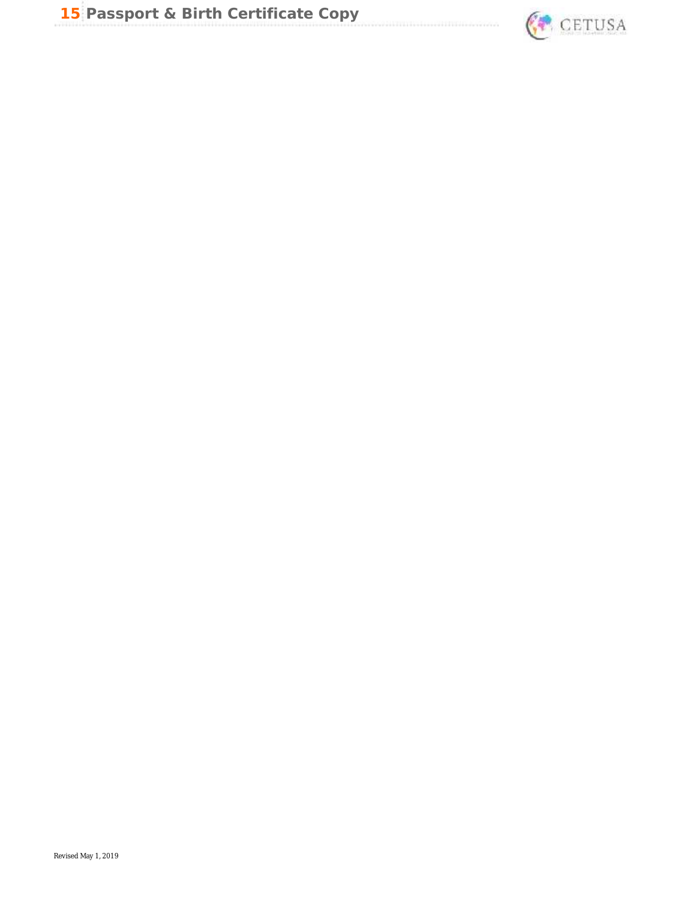

an ing ang pagpag